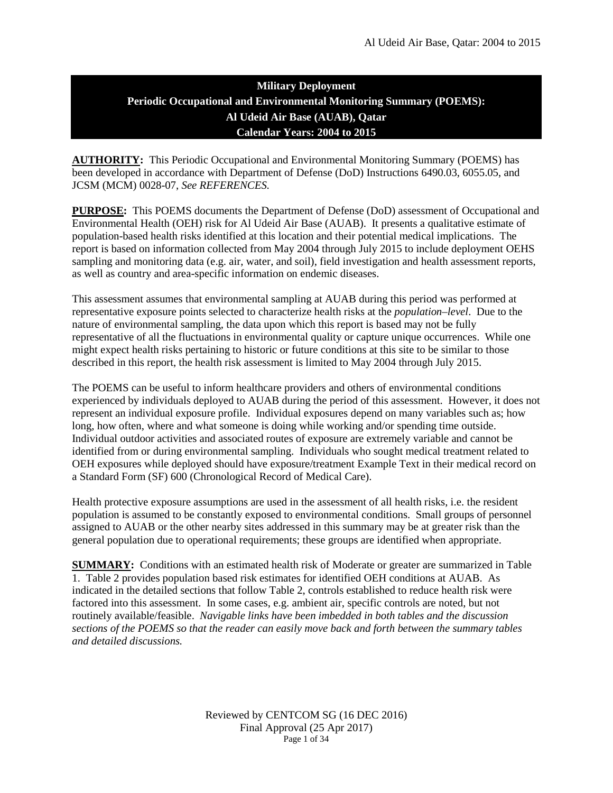# **Military Deployment Periodic Occupational and Environmental Monitoring Summary (POEMS): Al Udeid Air Base (AUAB), Qatar Calendar Years: 2004 to 2015**

**AUTHORITY:** This Periodic Occupational and Environmental Monitoring Summary (POEMS) has been developed in accordance with Department of Defense (DoD) Instructions 6490.03, 6055.05, and JCSM (MCM) 0028-07, *See REFERENCES.*

**PURPOSE:** This POEMS documents the Department of Defense (DoD) assessment of Occupational and Environmental Health (OEH) risk for Al Udeid Air Base (AUAB). It presents a qualitative estimate of population-based health risks identified at this location and their potential medical implications. The report is based on information collected from May 2004 through July 2015 to include deployment OEHS sampling and monitoring data (e.g. air, water, and soil), field investigation and health assessment reports, as well as country and area-specific information on endemic diseases.

This assessment assumes that environmental sampling at AUAB during this period was performed at representative exposure points selected to characterize health risks at the *population–level*. Due to the nature of environmental sampling, the data upon which this report is based may not be fully representative of all the fluctuations in environmental quality or capture unique occurrences. While one might expect health risks pertaining to historic or future conditions at this site to be similar to those described in this report, the health risk assessment is limited to May 2004 through July 2015.

The POEMS can be useful to inform healthcare providers and others of environmental conditions experienced by individuals deployed to AUAB during the period of this assessment. However, it does not represent an individual exposure profile. Individual exposures depend on many variables such as; how long, how often, where and what someone is doing while working and/or spending time outside. Individual outdoor activities and associated routes of exposure are extremely variable and cannot be identified from or during environmental sampling. Individuals who sought medical treatment related to OEH exposures while deployed should have exposure/treatment Example Text in their medical record on a Standard Form (SF) 600 (Chronological Record of Medical Care).

Health protective exposure assumptions are used in the assessment of all health risks, i.e. the resident population is assumed to be constantly exposed to environmental conditions. Small groups of personnel assigned to AUAB or the other nearby sites addressed in this summary may be at greater risk than the general population due to operational requirements; these groups are identified when appropriate.

**SUMMARY:** Conditions with an estimated health risk of Moderate or greater are summarized in Table 1. Table 2 provides population based risk estimates for identified OEH conditions at AUAB. As indicated in the detailed sections that follow Table 2, controls established to reduce health risk were factored into this assessment. In some cases, e.g. ambient air, specific controls are noted, but not routinely available/feasible. *Navigable links have been imbedded in both tables and the discussion sections of the POEMS so that the reader can easily move back and forth between the summary tables and detailed discussions.*

> Reviewed by CENTCOM SG (16 DEC 2016) Final Approval (25 Apr 2017) Page 1 of 34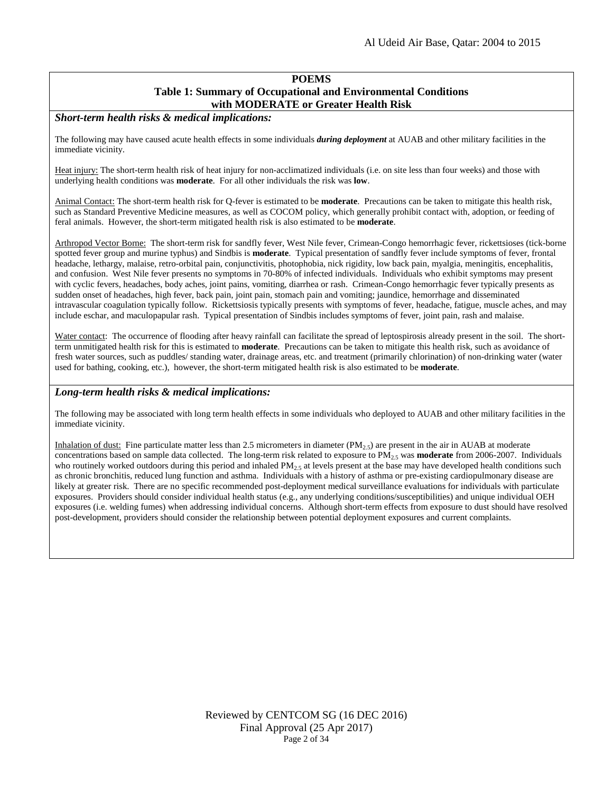### **POEMS Table 1: Summary of Occupational and Environmental Conditions with MODERATE or Greater Health Risk**

*Short-term health risks & medical implications:*

The following may have caused acute health effects in some individuals *during deployment* at AUAB and other military facilities in the immediate vicinity.

Heat injury: The short-term health risk of heat injury for non-acclimatized individuals (i.e. on site less than four weeks) and those with underlying health conditions was **moderate**. For all other individuals the risk was **low**.

Animal Contact: The short-term health risk for Q-fever is estimated to be **moderate**. Precautions can be taken to mitigate this health risk, such as Standard Preventive Medicine measures, as well as COCOM policy, which generally prohibit contact with, adoption, or feeding of feral animals. However, the short-term mitigated health risk is also estimated to be **moderate**.

Arthropod Vector Borne: The short-term risk for sandfly fever, West Nile fever, Crimean-Congo hemorrhagic fever, rickettsioses (tick-borne spotted fever group and murine typhus) and Sindbis is **moderate**. Typical presentation of sandfly fever include symptoms of fever, frontal headache, lethargy, malaise, retro-orbital pain, conjunctivitis, photophobia, nick rigidity, low back pain, myalgia, meningitis, encephalitis, and confusion. West Nile fever presents no symptoms in 70-80% of infected individuals. Individuals who exhibit symptoms may present with cyclic fevers, headaches, body aches, joint pains, vomiting, diarrhea or rash. Crimean-Congo hemorrhagic fever typically presents as sudden onset of headaches, high fever, back pain, joint pain, stomach pain and vomiting; jaundice, hemorrhage and disseminated intravascular coagulation typically follow. Rickettsiosis typically presents with symptoms of fever, headache, fatigue, muscle aches, and may include eschar, and maculopapular rash. Typical presentation of Sindbis includes symptoms of fever, joint pain, rash and malaise.

Water contact: The occurrence of flooding after heavy rainfall can facilitate the spread of leptospirosis already present in the soil. The shortterm unmitigated health risk for this is estimated to **moderate**. Precautions can be taken to mitigate this health risk, such as avoidance of fresh water sources, such as puddles/ standing water, drainage areas, etc. and treatment (primarily chlorination) of non-drinking water (water used for bathing, cooking, etc.), however, the short-term mitigated health risk is also estimated to be **moderate**.

#### *Long-term health risks & medical implications:*

The following may be associated with long term health effects in some individuals who deployed to AUAB and other military facilities in the immediate vicinity.

Inhalation of dust: Fine particulate matter less than 2.5 micrometers in diameter  $(PM_{2.5})$  are present in the air in AUAB at moderate concentrations based on sample data collected. The long-term risk related to exposure to  $PM_2$ , was **moderate** from 2006-2007. Individuals who routinely worked outdoors during this period and inhaled  $PM<sub>25</sub>$  at levels present at the base may have developed health conditions such as chronic bronchitis, reduced lung function and asthma. Individuals with a history of asthma or pre-existing cardiopulmonary disease are likely at greater risk. There are no specific recommended post-deployment medical surveillance evaluations for individuals with particulate exposures. Providers should consider individual health status (e.g., any underlying conditions/susceptibilities) and unique individual OEH exposures (i.e. welding fumes) when addressing individual concerns. Although short-term effects from exposure to dust should have resolved post-development, providers should consider the relationship between potential deployment exposures and current complaints.

> Reviewed by CENTCOM SG (16 DEC 2016) Final Approval (25 Apr 2017) Page 2 of 34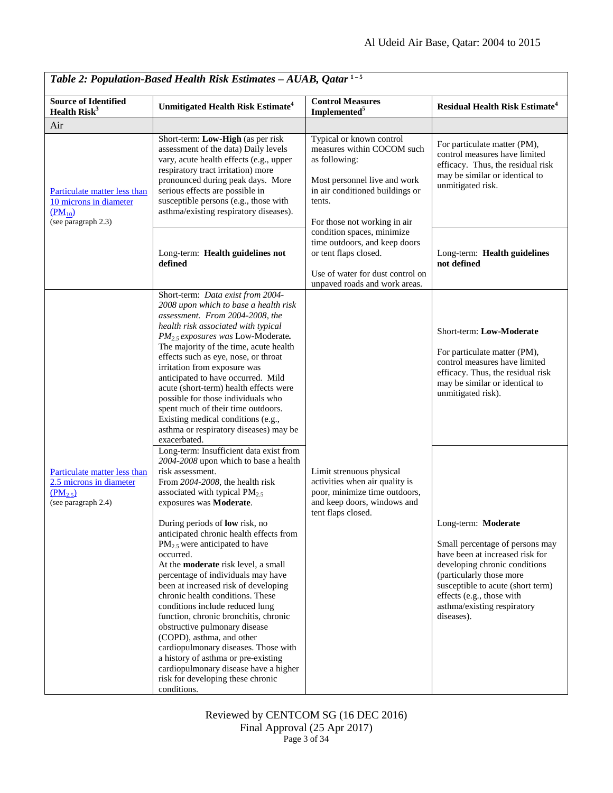| Table 2: Population-Based Health Risk Estimates - AUAB, Qatar <sup>1-5</sup>                           |                                                                                                                                                                                                                                                                                                                                                                                                                                                                                                                                                                                                                                                                                                                                                                                                                                 |                                                                                                                                                                                      |                                                                                                                                                                                                                                                                       |
|--------------------------------------------------------------------------------------------------------|---------------------------------------------------------------------------------------------------------------------------------------------------------------------------------------------------------------------------------------------------------------------------------------------------------------------------------------------------------------------------------------------------------------------------------------------------------------------------------------------------------------------------------------------------------------------------------------------------------------------------------------------------------------------------------------------------------------------------------------------------------------------------------------------------------------------------------|--------------------------------------------------------------------------------------------------------------------------------------------------------------------------------------|-----------------------------------------------------------------------------------------------------------------------------------------------------------------------------------------------------------------------------------------------------------------------|
| <b>Source of Identified</b><br>Health $Risk3$                                                          | Unmitigated Health Risk Estimate <sup>4</sup>                                                                                                                                                                                                                                                                                                                                                                                                                                                                                                                                                                                                                                                                                                                                                                                   | <b>Control Measures</b><br>Implemented <sup>5</sup>                                                                                                                                  | <b>Residual Health Risk Estimate<sup>4</sup></b>                                                                                                                                                                                                                      |
| Air                                                                                                    |                                                                                                                                                                                                                                                                                                                                                                                                                                                                                                                                                                                                                                                                                                                                                                                                                                 |                                                                                                                                                                                      |                                                                                                                                                                                                                                                                       |
| Particulate matter less than<br>10 microns in diameter<br>$(PM_{10})$<br>(see paragraph $2.3$ )        | Short-term: Low-High (as per risk<br>assessment of the data) Daily levels<br>vary, acute health effects (e.g., upper<br>respiratory tract irritation) more<br>pronounced during peak days. More<br>serious effects are possible in<br>susceptible persons (e.g., those with<br>asthma/existing respiratory diseases).                                                                                                                                                                                                                                                                                                                                                                                                                                                                                                           | Typical or known control<br>measures within COCOM such<br>as following:<br>Most personnel live and work<br>in air conditioned buildings or<br>tents.<br>For those not working in air | For particulate matter (PM),<br>control measures have limited<br>efficacy. Thus, the residual risk<br>may be similar or identical to<br>unmitigated risk.                                                                                                             |
|                                                                                                        | Long-term: Health guidelines not<br>defined                                                                                                                                                                                                                                                                                                                                                                                                                                                                                                                                                                                                                                                                                                                                                                                     | condition spaces, minimize<br>time outdoors, and keep doors<br>or tent flaps closed.<br>Use of water for dust control on<br>unpaved roads and work areas.                            | Long-term: Health guidelines<br>not defined                                                                                                                                                                                                                           |
|                                                                                                        | Short-term: Data exist from 2004-<br>2008 upon which to base a health risk<br>assessment. From 2004-2008, the<br>health risk associated with typical<br>PM <sub>2.5</sub> exposures was Low-Moderate.<br>The majority of the time, acute health<br>effects such as eye, nose, or throat<br>irritation from exposure was<br>anticipated to have occurred. Mild<br>acute (short-term) health effects were<br>possible for those individuals who<br>spent much of their time outdoors.<br>Existing medical conditions (e.g.,<br>asthma or respiratory diseases) may be<br>exacerbated.                                                                                                                                                                                                                                             |                                                                                                                                                                                      | Short-term: Low-Moderate<br>For particulate matter (PM),<br>control measures have limited<br>efficacy. Thus, the residual risk<br>may be similar or identical to<br>unmitigated risk).                                                                                |
| Particulate matter less than<br>2.5 microns in diameter<br>(PM <sub>2.5</sub> )<br>(see paragraph 2.4) | Long-term: Insufficient data exist from<br>2004-2008 upon which to base a health<br>risk assessment.<br>From 2004-2008, the health risk<br>associated with typical $PM_{2.5}$<br>exposures was Moderate.<br>During periods of low risk, no<br>anticipated chronic health effects from<br>$PM_{2.5}$ were anticipated to have<br>occurred.<br>At the <b>moderate</b> risk level, a small<br>percentage of individuals may have<br>been at increased risk of developing<br>chronic health conditions. These<br>conditions include reduced lung<br>function, chronic bronchitis, chronic<br>obstructive pulmonary disease<br>(COPD), asthma, and other<br>cardiopulmonary diseases. Those with<br>a history of asthma or pre-existing<br>cardiopulmonary disease have a higher<br>risk for developing these chronic<br>conditions. | Limit strenuous physical<br>activities when air quality is<br>poor, minimize time outdoors,<br>and keep doors, windows and<br>tent flaps closed.                                     | Long-term: Moderate<br>Small percentage of persons may<br>have been at increased risk for<br>developing chronic conditions<br>(particularly those more<br>susceptible to acute (short term)<br>effects (e.g., those with<br>asthma/existing respiratory<br>diseases). |

Reviewed by CENTCOM SG (16 DEC 2016) Final Approval (25 Apr 2017) Page 3 of 34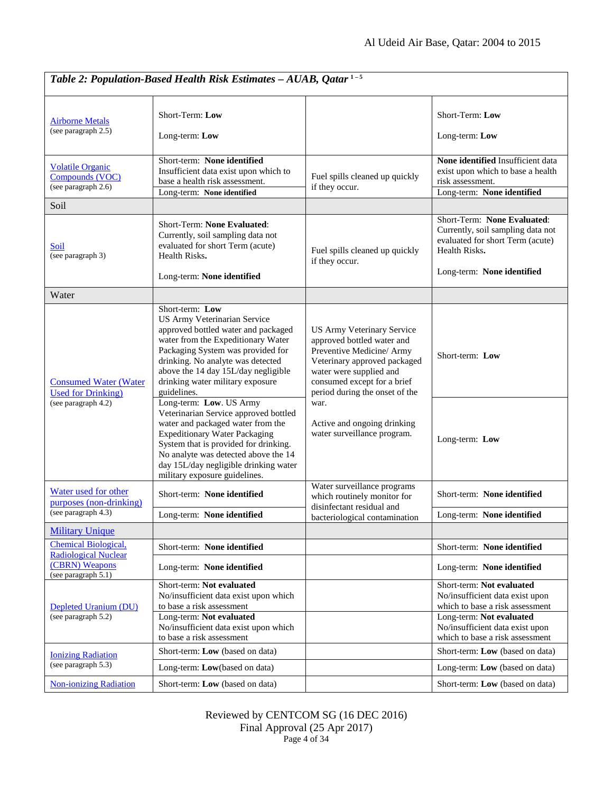| Table 2: Population-Based Health Risk Estimates - AUAB, Qatar <sup>1-5</sup>                           |                                                                                                                                                                                                                                                                                                          |                                                                                                                                                                                                                                                                                         |                                                                                                                                                                                                   |
|--------------------------------------------------------------------------------------------------------|----------------------------------------------------------------------------------------------------------------------------------------------------------------------------------------------------------------------------------------------------------------------------------------------------------|-----------------------------------------------------------------------------------------------------------------------------------------------------------------------------------------------------------------------------------------------------------------------------------------|---------------------------------------------------------------------------------------------------------------------------------------------------------------------------------------------------|
| <b>Airborne Metals</b><br>(see paragraph 2.5)                                                          | Short-Term: Low<br>Long-term: Low                                                                                                                                                                                                                                                                        |                                                                                                                                                                                                                                                                                         | Short-Term: Low<br>Long-term: Low                                                                                                                                                                 |
| <b>Volatile Organic</b><br>Compounds (VOC)<br>(see paragraph 2.6)                                      | Short-term: None identified<br>Insufficient data exist upon which to<br>base a health risk assessment.<br>Long-term: None identified                                                                                                                                                                     | Fuel spills cleaned up quickly<br>if they occur.                                                                                                                                                                                                                                        | None identified Insufficient data<br>exist upon which to base a health<br>risk assessment.<br>Long-term: None identified                                                                          |
| Soil                                                                                                   |                                                                                                                                                                                                                                                                                                          |                                                                                                                                                                                                                                                                                         |                                                                                                                                                                                                   |
| Soil<br>(see paragraph 3)                                                                              | Short-Term: None Evaluated:<br>Currently, soil sampling data not<br>evaluated for short Term (acute)<br>Health Risks.<br>Long-term: None identified                                                                                                                                                      | Fuel spills cleaned up quickly<br>if they occur.                                                                                                                                                                                                                                        | Short-Term: None Evaluated:<br>Currently, soil sampling data not<br>evaluated for short Term (acute)<br>Health Risks.<br>Long-term: None identified                                               |
| Water                                                                                                  |                                                                                                                                                                                                                                                                                                          |                                                                                                                                                                                                                                                                                         |                                                                                                                                                                                                   |
| <b>Consumed Water (Water</b><br><b>Used for Drinking</b> )<br>(see paragraph 4.2)                      | Short-term: Low<br>US Army Veterinarian Service<br>approved bottled water and packaged<br>water from the Expeditionary Water<br>Packaging System was provided for<br>drinking. No analyte was detected<br>above the 14 day 15L/day negligible<br>drinking water military exposure<br>guidelines.         | US Army Veterinary Service<br>approved bottled water and<br>Preventive Medicine/ Army<br>Veterinary approved packaged<br>water were supplied and<br>consumed except for a brief<br>period during the onset of the<br>war.<br>Active and ongoing drinking<br>water surveillance program. | Short-term: Low                                                                                                                                                                                   |
|                                                                                                        | Long-term: Low. US Army<br>Veterinarian Service approved bottled<br>water and packaged water from the<br><b>Expeditionary Water Packaging</b><br>System that is provided for drinking.<br>No analyte was detected above the 14<br>day 15L/day negligible drinking water<br>military exposure guidelines. |                                                                                                                                                                                                                                                                                         | Long-term: Low                                                                                                                                                                                    |
| Water used for other<br>purposes (non-drinking)<br>(see paragraph 4.3)                                 | Short-term: None identified                                                                                                                                                                                                                                                                              | Water surveillance programs<br>which routinely monitor for<br>disinfectant residual and                                                                                                                                                                                                 | Short-term: None identified                                                                                                                                                                       |
|                                                                                                        | Long-term: None identified                                                                                                                                                                                                                                                                               | bacteriological contamination                                                                                                                                                                                                                                                           | Long-term: None identified                                                                                                                                                                        |
| <b>Military Unique</b>                                                                                 |                                                                                                                                                                                                                                                                                                          |                                                                                                                                                                                                                                                                                         |                                                                                                                                                                                                   |
| <b>Chemical Biological,</b><br><b>Radiological Nuclear</b><br>(CBRN) Weapons<br>(see paragraph $5.1$ ) | Short-term: None identified                                                                                                                                                                                                                                                                              |                                                                                                                                                                                                                                                                                         | Short-term: None identified                                                                                                                                                                       |
|                                                                                                        | Long-term: None identified                                                                                                                                                                                                                                                                               |                                                                                                                                                                                                                                                                                         | Long-term: None identified                                                                                                                                                                        |
| Depleted Uranium (DU)<br>(see paragraph 5.2)                                                           | Short-term: Not evaluated<br>No/insufficient data exist upon which<br>to base a risk assessment<br>Long-term: Not evaluated<br>No/insufficient data exist upon which<br>to base a risk assessment                                                                                                        |                                                                                                                                                                                                                                                                                         | Short-term: Not evaluated<br>No/insufficient data exist upon<br>which to base a risk assessment<br>Long-term: Not evaluated<br>No/insufficient data exist upon<br>which to base a risk assessment |
| <b>Ionizing Radiation</b>                                                                              | Short-term: Low (based on data)                                                                                                                                                                                                                                                                          |                                                                                                                                                                                                                                                                                         | Short-term: Low (based on data)                                                                                                                                                                   |
| (see paragraph 5.3)                                                                                    | Long-term: Low(based on data)                                                                                                                                                                                                                                                                            |                                                                                                                                                                                                                                                                                         | Long-term: Low (based on data)                                                                                                                                                                    |
| <b>Non-ionizing Radiation</b>                                                                          | Short-term: Low (based on data)                                                                                                                                                                                                                                                                          |                                                                                                                                                                                                                                                                                         | Short-term: Low (based on data)                                                                                                                                                                   |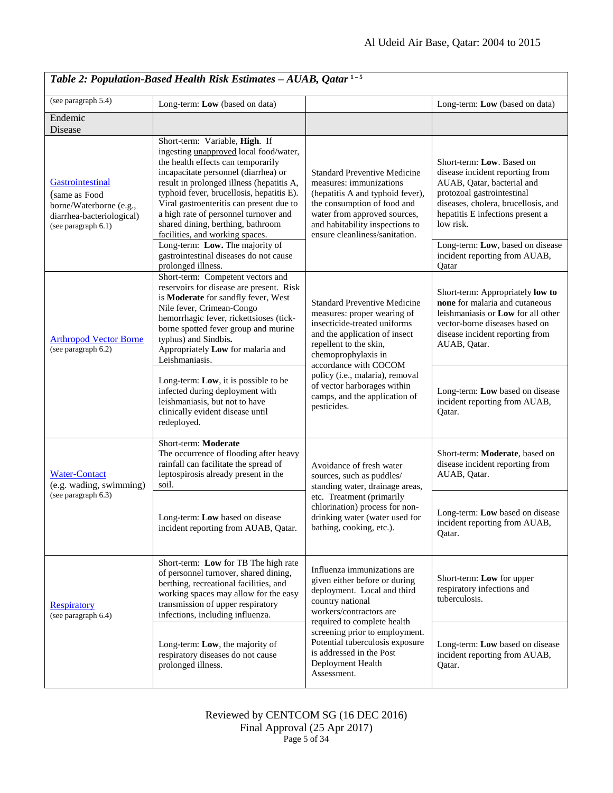| Table 2: Population-Based Health Risk Estimates $-AUAB$ , Qatar <sup>1-5</sup>                                   |                                                                                                                                                                                                                                                                                                                                                                                                                                                         |                                                                                                                                                                                                                                                                                                                                 |                                                                                                                                                                                                                                                      |
|------------------------------------------------------------------------------------------------------------------|---------------------------------------------------------------------------------------------------------------------------------------------------------------------------------------------------------------------------------------------------------------------------------------------------------------------------------------------------------------------------------------------------------------------------------------------------------|---------------------------------------------------------------------------------------------------------------------------------------------------------------------------------------------------------------------------------------------------------------------------------------------------------------------------------|------------------------------------------------------------------------------------------------------------------------------------------------------------------------------------------------------------------------------------------------------|
| (see paragraph 5.4)                                                                                              | Long-term: Low (based on data)                                                                                                                                                                                                                                                                                                                                                                                                                          |                                                                                                                                                                                                                                                                                                                                 | Long-term: Low (based on data)                                                                                                                                                                                                                       |
| Endemic<br>Disease                                                                                               |                                                                                                                                                                                                                                                                                                                                                                                                                                                         |                                                                                                                                                                                                                                                                                                                                 |                                                                                                                                                                                                                                                      |
| Gastrointestinal<br>(same as Food<br>borne/Waterborne (e.g.,<br>diarrhea-bacteriological)<br>(see paragraph 6.1) | Short-term: Variable, High. If<br>ingesting <i>unapproved</i> local food/water,<br>the health effects can temporarily<br>incapacitate personnel (diarrhea) or<br>result in prolonged illness (hepatitis A,<br>typhoid fever, brucellosis, hepatitis E).<br>Viral gastroenteritis can present due to<br>a high rate of personnel turnover and<br>shared dining, berthing, bathroom<br>facilities, and working spaces.<br>Long-term: Low. The majority of | <b>Standard Preventive Medicine</b><br>measures: immunizations<br>(hepatitis A and typhoid fever),<br>the consumption of food and<br>water from approved sources,<br>and habitability inspections to<br>ensure cleanliness/sanitation.                                                                                          | Short-term: Low. Based on<br>disease incident reporting from<br>AUAB, Qatar, bacterial and<br>protozoal gastrointestinal<br>diseases, cholera, brucellosis, and<br>hepatitis E infections present a<br>low risk.<br>Long-term: Low, based on disease |
|                                                                                                                  | gastrointestinal diseases do not cause<br>prolonged illness.                                                                                                                                                                                                                                                                                                                                                                                            |                                                                                                                                                                                                                                                                                                                                 | incident reporting from AUAB,<br>Qatar                                                                                                                                                                                                               |
| <b>Arthropod Vector Borne</b><br>(see paragraph 6.2)                                                             | Short-term: Competent vectors and<br>reservoirs for disease are present. Risk<br>is Moderate for sandfly fever, West<br>Nile fever, Crimean-Congo<br>hemorrhagic fever, rickettsioses (tick-<br>borne spotted fever group and murine<br>typhus) and Sindbis.<br>Appropriately Low for malaria and<br>Leishmaniasis.                                                                                                                                     | <b>Standard Preventive Medicine</b><br>measures: proper wearing of<br>insecticide-treated uniforms<br>and the application of insect<br>repellent to the skin,<br>chemoprophylaxis in<br>accordance with COCOM<br>policy (i.e., malaria), removal<br>of vector harborages within<br>camps, and the application of<br>pesticides. | Short-term: Appropriately low to<br>none for malaria and cutaneous<br>leishmaniasis or <b>Low</b> for all other<br>vector-borne diseases based on<br>disease incident reporting from<br>AUAB, Qatar.                                                 |
|                                                                                                                  | Long-term: Low, it is possible to be<br>infected during deployment with<br>leishmaniasis, but not to have<br>clinically evident disease until<br>redeployed.                                                                                                                                                                                                                                                                                            |                                                                                                                                                                                                                                                                                                                                 | Long-term: Low based on disease<br>incident reporting from AUAB,<br>Qatar.                                                                                                                                                                           |
| <b>Water-Contact</b><br>(e.g. wading, swimming)<br>(see paragraph 6.3)                                           | Short-term: Moderate<br>The occurrence of flooding after heavy<br>rainfall can facilitate the spread of<br>leptospirosis already present in the<br>soil.                                                                                                                                                                                                                                                                                                | Avoidance of fresh water<br>sources, such as puddles/<br>standing water, drainage areas,<br>etc. Treatment (primarily<br>chlorination) process for non-<br>drinking water (water used for<br>bathing, cooking, etc.).                                                                                                           | Short-term: Moderate, based on<br>disease incident reporting from<br>AUAB, Qatar.                                                                                                                                                                    |
|                                                                                                                  | Long-term: Low based on disease<br>incident reporting from AUAB, Qatar.                                                                                                                                                                                                                                                                                                                                                                                 |                                                                                                                                                                                                                                                                                                                                 | Long-term: Low based on disease<br>incident reporting from AUAB,<br>Qatar.                                                                                                                                                                           |
| <b>Respiratory</b><br>(see paragraph 6.4)                                                                        | Short-term: Low for TB The high rate<br>of personnel turnover, shared dining,<br>berthing, recreational facilities, and<br>working spaces may allow for the easy<br>transmission of upper respiratory<br>infections, including influenza.                                                                                                                                                                                                               | Influenza immunizations are<br>given either before or during<br>deployment. Local and third<br>country national<br>workers/contractors are<br>required to complete health<br>screening prior to employment.<br>Potential tuberculosis exposure<br>is addressed in the Post<br>Deployment Health<br>Assessment.                  | Short-term: Low for upper<br>respiratory infections and<br>tuberculosis.                                                                                                                                                                             |
|                                                                                                                  | Long-term: Low, the majority of<br>respiratory diseases do not cause<br>prolonged illness.                                                                                                                                                                                                                                                                                                                                                              |                                                                                                                                                                                                                                                                                                                                 | Long-term: Low based on disease<br>incident reporting from AUAB,<br>Qatar.                                                                                                                                                                           |

Reviewed by CENTCOM SG (16 DEC 2016) Final Approval (25 Apr 2017) Page 5 of 34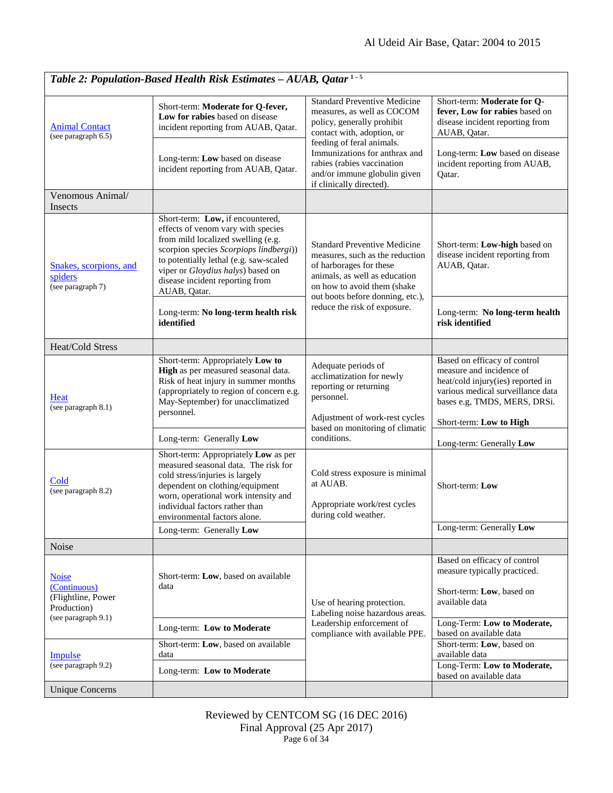| Table 2: Population-Based Health Risk Estimates - AUAB, Qatar <sup>1-5</sup>             |                                                                                                                                                                                                                                                                                          |                                                                                                                                                                                                                                                                                       |                                                                                                                                                                    |
|------------------------------------------------------------------------------------------|------------------------------------------------------------------------------------------------------------------------------------------------------------------------------------------------------------------------------------------------------------------------------------------|---------------------------------------------------------------------------------------------------------------------------------------------------------------------------------------------------------------------------------------------------------------------------------------|--------------------------------------------------------------------------------------------------------------------------------------------------------------------|
| <b>Animal Contact</b><br>(see paragraph 6.5)                                             | Short-term: Moderate for Q-fever,<br>Low for rabies based on disease<br>incident reporting from AUAB, Qatar.                                                                                                                                                                             | <b>Standard Preventive Medicine</b><br>measures, as well as COCOM<br>policy, generally prohibit<br>contact with, adoption, or<br>feeding of feral animals.<br>Immunizations for anthrax and<br>rabies (rabies vaccination<br>and/or immune globulin given<br>if clinically directed). | Short-term: Moderate for Q-<br>fever, Low for rabies based on<br>disease incident reporting from<br>AUAB, Qatar.                                                   |
|                                                                                          | Long-term: Low based on disease<br>incident reporting from AUAB, Qatar.                                                                                                                                                                                                                  |                                                                                                                                                                                                                                                                                       | Long-term: Low based on disease<br>incident reporting from AUAB,<br>Qatar.                                                                                         |
| Venomous Animal/<br>Insects                                                              |                                                                                                                                                                                                                                                                                          |                                                                                                                                                                                                                                                                                       |                                                                                                                                                                    |
| Snakes, scorpions, and<br>spiders<br>(see paragraph 7)                                   | Short-term: Low, if encountered,<br>effects of venom vary with species<br>from mild localized swelling (e.g.<br>scorpion species Scorpiops lindbergi))<br>to potentially lethal (e.g. saw-scaled<br>viper or Gloydius halys) based on<br>disease incident reporting from<br>AUAB, Qatar. | <b>Standard Preventive Medicine</b><br>measures, such as the reduction<br>of harborages for these<br>animals, as well as education<br>on how to avoid them (shake<br>out boots before donning, etc.),<br>reduce the risk of exposure.                                                 | Short-term: Low-high based on<br>disease incident reporting from<br>AUAB, Qatar.                                                                                   |
|                                                                                          | Long-term: No long-term health risk<br>identified                                                                                                                                                                                                                                        |                                                                                                                                                                                                                                                                                       | Long-term: No long-term health<br>risk identified                                                                                                                  |
| <b>Heat/Cold Stress</b>                                                                  |                                                                                                                                                                                                                                                                                          |                                                                                                                                                                                                                                                                                       |                                                                                                                                                                    |
| Heat<br>(see paragraph 8.1)                                                              | Short-term: Appropriately Low to<br>High as per measured seasonal data.<br>Risk of heat injury in summer months<br>(appropriately to region of concern e.g.<br>May-September) for unacclimatized<br>personnel.                                                                           | Adequate periods of<br>acclimatization for newly<br>reporting or returning<br>personnel.<br>Adjustment of work-rest cycles                                                                                                                                                            | Based on efficacy of control<br>measure and incidence of<br>heat/cold injury(ies) reported in<br>various medical surveillance data<br>bases e.g, TMDS, MERS, DRSi. |
|                                                                                          | Long-term: Generally Low                                                                                                                                                                                                                                                                 | based on monitoring of climatic<br>conditions.                                                                                                                                                                                                                                        | Short-term: Low to High                                                                                                                                            |
| Cold<br>(see paragraph 8.2)                                                              | Short-term: Appropriately Low as per<br>measured seasonal data. The risk for<br>cold stress/injuries is largely<br>dependent on clothing/equipment<br>worn, operational work intensity and<br>individual factors rather than<br>environmental factors alone.                             | Cold stress exposure is minimal<br>at AUAB.<br>Appropriate work/rest cycles<br>during cold weather.                                                                                                                                                                                   | Long-term: Generally Low<br>Short-term: Low                                                                                                                        |
|                                                                                          | Long-term: Generally Low                                                                                                                                                                                                                                                                 |                                                                                                                                                                                                                                                                                       | Long-term: Generally Low                                                                                                                                           |
| Noise                                                                                    |                                                                                                                                                                                                                                                                                          |                                                                                                                                                                                                                                                                                       |                                                                                                                                                                    |
| <b>Noise</b><br>(Continuous)<br>(Flightline, Power<br>Production)<br>(see paragraph 9.1) | Short-term: Low, based on available<br>data                                                                                                                                                                                                                                              | Use of hearing protection.<br>Labeling noise hazardous areas.<br>Leadership enforcement of<br>compliance with available PPE.                                                                                                                                                          | Based on efficacy of control<br>measure typically practiced.<br>Short-term: Low, based on<br>available data                                                        |
|                                                                                          | Long-term: Low to Moderate                                                                                                                                                                                                                                                               |                                                                                                                                                                                                                                                                                       | Long-Term: Low to Moderate,<br>based on available data                                                                                                             |
| Impulse<br>(see paragraph 9.2)                                                           | Short-term: Low, based on available<br>data                                                                                                                                                                                                                                              |                                                                                                                                                                                                                                                                                       | Short-term: Low, based on<br>available data                                                                                                                        |
|                                                                                          | Long-term: Low to Moderate                                                                                                                                                                                                                                                               |                                                                                                                                                                                                                                                                                       | Long-Term: Low to Moderate,<br>based on available data                                                                                                             |
| <b>Unique Concerns</b>                                                                   |                                                                                                                                                                                                                                                                                          |                                                                                                                                                                                                                                                                                       |                                                                                                                                                                    |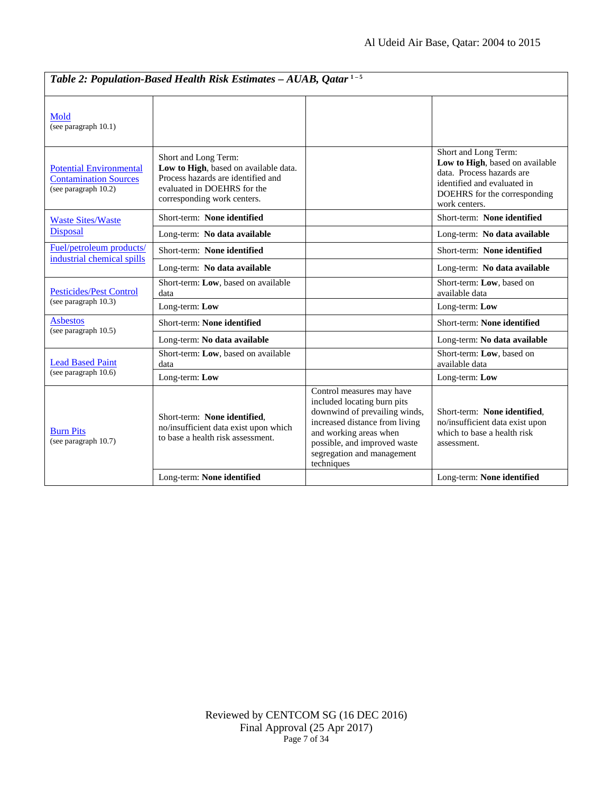| Table 2: Population-Based Health Risk Estimates - AUAB, Qatar <sup>1-5</sup>           |                                                                                                                                                                   |                                                                                                                                                                                                                                   |                                                                                                                                                                      |
|----------------------------------------------------------------------------------------|-------------------------------------------------------------------------------------------------------------------------------------------------------------------|-----------------------------------------------------------------------------------------------------------------------------------------------------------------------------------------------------------------------------------|----------------------------------------------------------------------------------------------------------------------------------------------------------------------|
| Mold<br>(see paragraph 10.1)                                                           |                                                                                                                                                                   |                                                                                                                                                                                                                                   |                                                                                                                                                                      |
| <b>Potential Environmental</b><br><b>Contamination Sources</b><br>(see paragraph 10.2) | Short and Long Term:<br>Low to High, based on available data.<br>Process hazards are identified and<br>evaluated in DOEHRS for the<br>corresponding work centers. |                                                                                                                                                                                                                                   | Short and Long Term:<br>Low to High, based on available<br>data. Process hazards are<br>identified and evaluated in<br>DOEHRS for the corresponding<br>work centers. |
| <b>Waste Sites/Waste</b>                                                               | Short-term: None identified                                                                                                                                       |                                                                                                                                                                                                                                   | Short-term: None identified                                                                                                                                          |
| <b>Disposal</b>                                                                        | Long-term: No data available                                                                                                                                      |                                                                                                                                                                                                                                   | Long-term: No data available                                                                                                                                         |
| Fuel/petroleum products/<br>industrial chemical spills                                 | Short-term: None identified                                                                                                                                       |                                                                                                                                                                                                                                   | Short-term: None identified                                                                                                                                          |
|                                                                                        | Long-term: No data available                                                                                                                                      |                                                                                                                                                                                                                                   | Long-term: No data available                                                                                                                                         |
| <b>Pesticides/Pest Control</b>                                                         | Short-term: Low, based on available<br>data                                                                                                                       |                                                                                                                                                                                                                                   | Short-term: Low, based on<br>available data                                                                                                                          |
| (see paragraph 10.3)                                                                   | Long-term: Low                                                                                                                                                    |                                                                                                                                                                                                                                   | Long-term: Low                                                                                                                                                       |
| <b>Asbestos</b><br>(see paragraph 10.5)                                                | Short-term: None identified                                                                                                                                       |                                                                                                                                                                                                                                   | Short-term: None identified                                                                                                                                          |
|                                                                                        | Long-term: No data available                                                                                                                                      |                                                                                                                                                                                                                                   | Long-term: No data available                                                                                                                                         |
| <b>Lead Based Paint</b><br>(see paragraph 10.6)                                        | Short-term: Low, based on available<br>data                                                                                                                       |                                                                                                                                                                                                                                   | Short-term: Low, based on<br>available data                                                                                                                          |
|                                                                                        | Long-term: Low                                                                                                                                                    |                                                                                                                                                                                                                                   | Long-term: Low                                                                                                                                                       |
| <b>Burn Pits</b><br>(see paragraph 10.7)                                               | Short-term: None identified,<br>no/insufficient data exist upon which<br>to base a health risk assessment.                                                        | Control measures may have<br>included locating burn pits<br>downwind of prevailing winds,<br>increased distance from living<br>and working areas when<br>possible, and improved waste<br>segregation and management<br>techniques | Short-term: None identified,<br>no/insufficient data exist upon<br>which to base a health risk<br>assessment.                                                        |
|                                                                                        | Long-term: None identified                                                                                                                                        |                                                                                                                                                                                                                                   | Long-term: None identified                                                                                                                                           |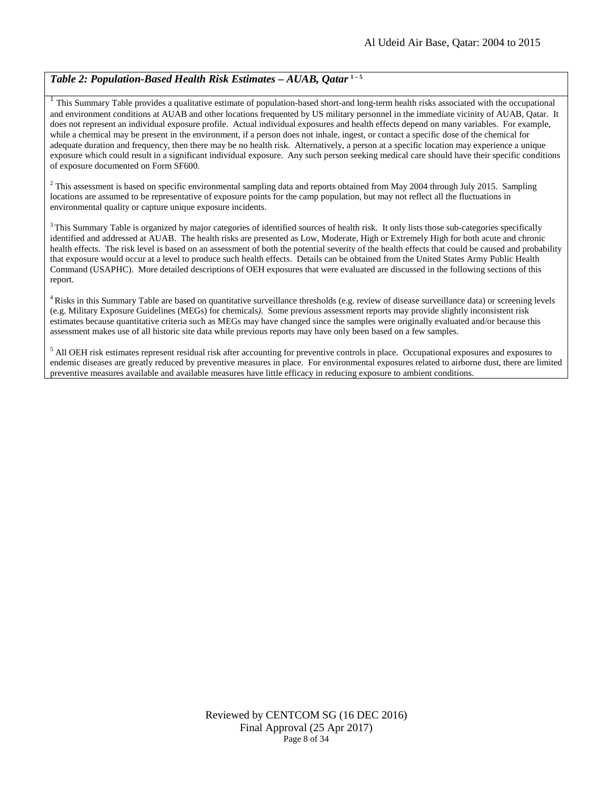# *Table 2: Population-Based Health Risk Estimates – AUAB, Qatar* **1 – <sup>5</sup>**

 $1$  This Summary Table provides a qualitative estimate of population-based short-and long-term health risks associated with the occupational and environment conditions at AUAB and other locations frequented by US military personnel in the immediate vicinity of AUAB, Qatar. It does not represent an individual exposure profile. Actual individual exposures and health effects depend on many variables. For example, while a chemical may be present in the environment, if a person does not inhale, ingest, or contact a specific dose of the chemical for adequate duration and frequency, then there may be no health risk. Alternatively, a person at a specific location may experience a unique exposure which could result in a significant individual exposure. Any such person seeking medical care should have their specific conditions of exposure documented on Form SF600.

 $2$  This assessment is based on specific environmental sampling data and reports obtained from May 2004 through July 2015. Sampling locations are assumed to be representative of exposure points for the camp population, but may not reflect all the fluctuations in environmental quality or capture unique exposure incidents.

 $3$  This Summary Table is organized by major categories of identified sources of health risk. It only lists those sub-categories specifically identified and addressed at AUAB. The health risks are presented as Low, Moderate, High or Extremely High for both acute and chronic health effects. The risk level is based on an assessment of both the potential severity of the health effects that could be caused and probability that exposure would occur at a level to produce such health effects. Details can be obtained from the United States Army Public Health Command (USAPHC). More detailed descriptions of OEH exposures that were evaluated are discussed in the following sections of this report.

<sup>4</sup> Risks in this Summary Table are based on quantitative surveillance thresholds (e.g. review of disease surveillance data) or screening levels (e.g. Military Exposure Guidelines (MEGs) for chemicals*).* Some previous assessment reports may provide slightly inconsistent risk estimates because quantitative criteria such as MEGs may have changed since the samples were originally evaluated and/or because this assessment makes use of all historic site data while previous reports may have only been based on a few samples.

 $<sup>5</sup>$  All OEH risk estimates represent residual risk after accounting for preventive controls in place. Occupational exposures and exposures to</sup> endemic diseases are greatly reduced by preventive measures in place. For environmental exposures related to airborne dust, there are limited preventive measures available and available measures have little efficacy in reducing exposure to ambient conditions.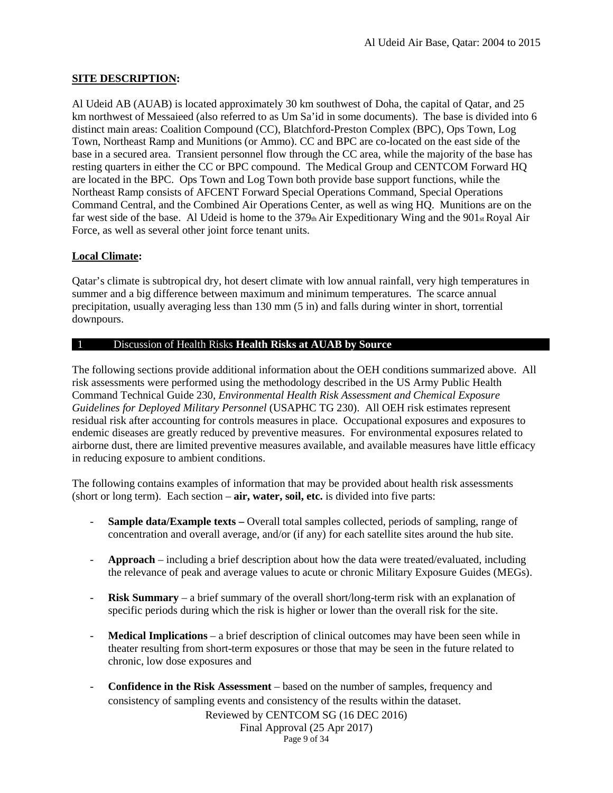# **SITE DESCRIPTION:**

Al Udeid AB (AUAB) is located approximately 30 km southwest of Doha, the capital of Qatar, and 25 km northwest of Messaieed (also referred to as Um Sa'id in some documents). The base is divided into 6 distinct main areas: Coalition Compound (CC), Blatchford-Preston Complex (BPC), Ops Town, Log Town, Northeast Ramp and Munitions (or Ammo). CC and BPC are co-located on the east side of the base in a secured area. Transient personnel flow through the CC area, while the majority of the base has resting quarters in either the CC or BPC compound. The Medical Group and CENTCOM Forward HQ are located in the BPC. Ops Town and Log Town both provide base support functions, while the Northeast Ramp consists of AFCENT Forward Special Operations Command, Special Operations Command Central, and the Combined Air Operations Center, as well as wing HQ. Munitions are on the far west side of the base. Al Udeid is home to the  $379<sub>th</sub>$  Air Expeditionary Wing and the  $901<sub>st</sub>$  Royal Air Force, as well as several other joint force tenant units.

# **Local Climate:**

Qatar's climate is subtropical dry, hot desert climate with low annual rainfall, very high temperatures in summer and a big difference between maximum and minimum temperatures. The scarce annual precipitation, usually averaging less than 130 mm (5 in) and falls during winter in short, torrential downpours.

# 1 Discussion of Health Risks **Health Risks at AUAB by Source**

The following sections provide additional information about the OEH conditions summarized above. All risk assessments were performed using the methodology described in the US Army Public Health Command Technical Guide 230, *Environmental Health Risk Assessment and Chemical Exposure Guidelines for Deployed Military Personnel* (USAPHC TG 230). All OEH risk estimates represent residual risk after accounting for controls measures in place. Occupational exposures and exposures to endemic diseases are greatly reduced by preventive measures. For environmental exposures related to airborne dust, there are limited preventive measures available, and available measures have little efficacy in reducing exposure to ambient conditions.

The following contains examples of information that may be provided about health risk assessments (short or long term). Each section – **air, water, soil, etc.** is divided into five parts:

- **Sample data/Example texts –** Overall total samples collected, periods of sampling, range of concentration and overall average, and/or (if any) for each satellite sites around the hub site.
- **Approach** including a brief description about how the data were treated/evaluated, including the relevance of peak and average values to acute or chronic Military Exposure Guides (MEGs).
- **Risk Summary**  a brief summary of the overall short/long-term risk with an explanation of specific periods during which the risk is higher or lower than the overall risk for the site.
- **Medical Implications**  a brief description of clinical outcomes may have been seen while in theater resulting from short-term exposures or those that may be seen in the future related to chronic, low dose exposures and
- **Confidence in the Risk Assessment**  based on the number of samples, frequency and consistency of sampling events and consistency of the results within the dataset.

Reviewed by CENTCOM SG (16 DEC 2016) Final Approval (25 Apr 2017) Page 9 of 34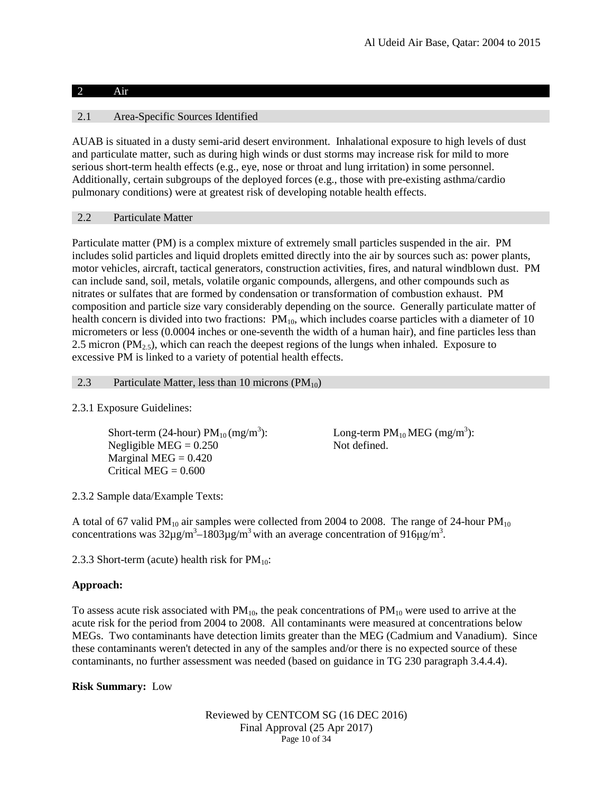# 2 Air

# 2.1 Area-Specific Sources Identified

AUAB is situated in a dusty semi-arid desert environment. Inhalational exposure to high levels of dust and particulate matter, such as during high winds or dust storms may increase risk for mild to more serious short-term health effects (e.g., eye, nose or throat and lung irritation) in some personnel. Additionally, certain subgroups of the deployed forces (e.g., those with pre-existing asthma/cardio pulmonary conditions) were at greatest risk of developing notable health effects.

# 2.2 Particulate Matter

<span id="page-9-0"></span>Particulate matter (PM) is a complex mixture of extremely small particles suspended in the air. PM includes solid particles and liquid droplets emitted directly into the air by sources such as: power plants, motor vehicles, aircraft, tactical generators, construction activities, fires, and natural windblown dust. PM can include sand, soil, metals, volatile organic compounds, allergens, and other compounds such as nitrates or sulfates that are formed by condensation or transformation of combustion exhaust. PM composition and particle size vary considerably depending on the source. Generally particulate matter of health concern is divided into two fractions:  $PM_{10}$ , which includes coarse particles with a diameter of 10 micrometers or less (0.0004 inches or one-seventh the width of a human hair), and fine particles less than 2.5 micron ( $PM<sub>2.5</sub>$ ), which can reach the deepest regions of the lungs when inhaled. Exposure to excessive PM is linked to a variety of potential health effects.

# 2.3 Particulate Matter, less than 10 microns  $(PM_{10})$

# 2.3.1 Exposure Guidelines:

Short-term (24-hour)  $PM_{10}$  (mg/m<sup>3</sup>): Negligible  $MEG = 0.250$  Not defined. Marginal MEG  $= 0.420$ Critical MEG  $= 0.600$ 

): Long-term  $PM_{10}$  MEG (mg/m<sup>3</sup>):

2.3.2 Sample data/Example Texts:

A total of 67 valid PM<sub>10</sub> air samples were collected from 2004 to 2008. The range of 24-hour PM<sub>10</sub> concentrations was  $32\mu g/m^3 - 1803\mu g/m^3$  with an average concentration of 916 $\mu g/m^3$ .

2.3.3 Short-term (acute) health risk for  $PM_{10}$ :

# **Approach:**

To assess acute risk associated with  $PM_{10}$ , the peak concentrations of  $PM_{10}$  were used to arrive at the acute risk for the period from 2004 to 2008. All contaminants were measured at concentrations below MEGs. Two contaminants have detection limits greater than the MEG (Cadmium and Vanadium). Since these contaminants weren't detected in any of the samples and/or there is no expected source of these contaminants, no further assessment was needed (based on guidance in TG 230 paragraph 3.4.4.4).

# **Risk Summary:** Low

Reviewed by CENTCOM SG (16 DEC 2016) Final Approval (25 Apr 2017) Page 10 of 34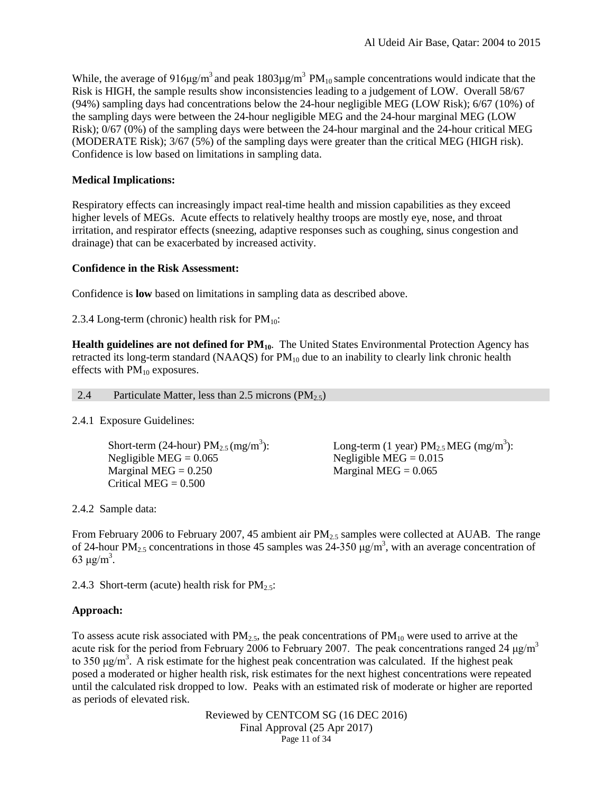While, the average of 916µg/m<sup>3</sup> and peak 1803µg/m<sup>3</sup> PM<sub>10</sub> sample concentrations would indicate that the Risk is HIGH, the sample results show inconsistencies leading to a judgement of LOW. Overall 58/67 (94%) sampling days had concentrations below the 24-hour negligible MEG (LOW Risk); 6/67 (10%) of the sampling days were between the 24-hour negligible MEG and the 24-hour marginal MEG (LOW Risk); 0/67 (0%) of the sampling days were between the 24-hour marginal and the 24-hour critical MEG (MODERATE Risk); 3/67 (5%) of the sampling days were greater than the critical MEG (HIGH risk). Confidence is low based on limitations in sampling data.

# **Medical Implications:**

Respiratory effects can increasingly impact real-time health and mission capabilities as they exceed higher levels of MEGs. Acute effects to relatively healthy troops are mostly eye, nose, and throat irritation, and respirator effects (sneezing, adaptive responses such as coughing, sinus congestion and drainage) that can be exacerbated by increased activity.

# **Confidence in the Risk Assessment:**

Confidence is **low** based on limitations in sampling data as described above.

2.3.4 Long-term (chronic) health risk for  $PM_{10}$ :

**Health guidelines are not defined for PM<sub>10</sub>**. The United States Environmental Protection Agency has retracted its long-term standard (NAAQS) for  $PM_{10}$  due to an inability to clearly link chronic health effects with PM<sub>10</sub> exposures.

#### 2.4 Particulate Matter, less than 2.5 microns  $(PM_{2.5})$

# <span id="page-10-0"></span>2.4.1 Exposure Guidelines:

Short-term (24-hour)  $PM_{2.5}$  (mg/m<sup>3</sup>): Negligible MEG =  $0.065$  Negligible MEG =  $0.015$ Marginal MEG =  $0.250$  Marginal MEG =  $0.065$ Critical MEG  $= 0.500$ 

 $\text{Long-term (1 year)} \text{ PM}_{2.5} \text{ MEG (mg/m}^3):$ 

2.4.2 Sample data:

From February 2006 to February 2007, 45 ambient air  $PM_{2.5}$  samples were collected at AUAB. The range of 24-hour PM<sub>2.5</sub> concentrations in those 45 samples was 24-350  $\mu$ g/m<sup>3</sup>, with an average concentration of 63 μg/m<sup>3</sup>.

2.4.3 Short-term (acute) health risk for  $PM_{2.5}$ :

# **Approach:**

To assess acute risk associated with  $PM_{2.5}$ , the peak concentrations of  $PM_{10}$  were used to arrive at the acute risk for the period from February 2006 to February 2007. The peak concentrations ranged 24  $\mu$ g/m<sup>3</sup> to 350 μg/m<sup>3</sup>. A risk estimate for the highest peak concentration was calculated. If the highest peak posed a moderated or higher health risk, risk estimates for the next highest concentrations were repeated until the calculated risk dropped to low. Peaks with an estimated risk of moderate or higher are reported as periods of elevated risk.

> Reviewed by CENTCOM SG (16 DEC 2016) Final Approval (25 Apr 2017) Page 11 of 34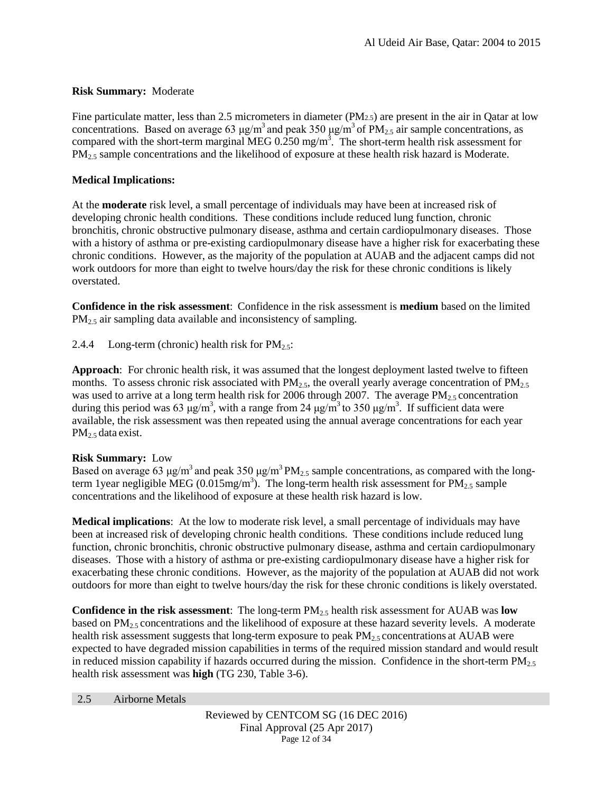# **Risk Summary:** Moderate

Fine particulate matter, less than 2.5 micrometers in diameter (PM2.5) are present in the air in Qatar at low concentrations. Based on average 63 μg/m<sup>3</sup> and peak 350 μg/m<sup>3</sup> of PM<sub>2.5</sub> air sample concentrations, as compared with the short-term marginal MEG  $0.250$  mg/m<sup>3</sup>. The short-term health risk assessment for  $PM<sub>2.5</sub>$  sample concentrations and the likelihood of exposure at these health risk hazard is Moderate.

# **Medical Implications:**

At the **moderate** risk level, a small percentage of individuals may have been at increased risk of developing chronic health conditions. These conditions include reduced lung function, chronic bronchitis, chronic obstructive pulmonary disease, asthma and certain cardiopulmonary diseases. Those with a history of asthma or pre-existing cardiopulmonary disease have a higher risk for exacerbating these chronic conditions. However, as the majority of the population at AUAB and the adjacent camps did not work outdoors for more than eight to twelve hours/day the risk for these chronic conditions is likely overstated.

**Confidence in the risk assessment**: Confidence in the risk assessment is **medium** based on the limited PM<sub>2.5</sub> air sampling data available and inconsistency of sampling.

2.4.4 Long-term (chronic) health risk for  $PM_{2.5}$ :

**Approach**: For chronic health risk, it was assumed that the longest deployment lasted twelve to fifteen months. To assess chronic risk associated with  $PM_{2.5}$ , the overall yearly average concentration of  $PM_{2.5}$ was used to arrive at a long term health risk for 2006 through 2007. The average  $PM_{2.5}$  concentration during this period was 63  $\mu$ g/m<sup>3</sup>, with a range from 24  $\mu$ g/m<sup>3</sup> to 350  $\mu$ g/m<sup>3</sup>. If sufficient data were available, the risk assessment was then repeated using the annual average concentrations for each year PM<sub>2.5</sub> data exist.

# **Risk Summary:** Low

Based on average 63 μg/m<sup>3</sup> and peak 350 μg/m<sup>3</sup> PM<sub>2.5</sub> sample concentrations, as compared with the longterm 1 year negligible MEG (0.015mg/m<sup>3</sup>). The long-term health risk assessment for  $PM_{2.5}$  sample concentrations and the likelihood of exposure at these health risk hazard is low.

**Medical implications**: At the low to moderate risk level, a small percentage of individuals may have been at increased risk of developing chronic health conditions. These conditions include reduced lung function, chronic bronchitis, chronic obstructive pulmonary disease, asthma and certain cardiopulmonary diseases. Those with a history of asthma or pre-existing cardiopulmonary disease have a higher risk for exacerbating these chronic conditions. However, as the majority of the population at AUAB did not work outdoors for more than eight to twelve hours/day the risk for these chronic conditions is likely overstated.

**Confidence in the risk assessment**: The long-term PM2.5 health risk assessment for AUAB was **low** based on  $PM_{2.5}$  concentrations and the likelihood of exposure at these hazard severity levels. A moderate health risk assessment suggests that long-term exposure to peak  $PM_{2.5}$  concentrations at AUAB were expected to have degraded mission capabilities in terms of the required mission standard and would result in reduced mission capability if hazards occurred during the mission. Confidence in the short-term  $PM_{2.5}$ health risk assessment was **high** (TG 230, Table 3-6).

2.5 Airborne Metals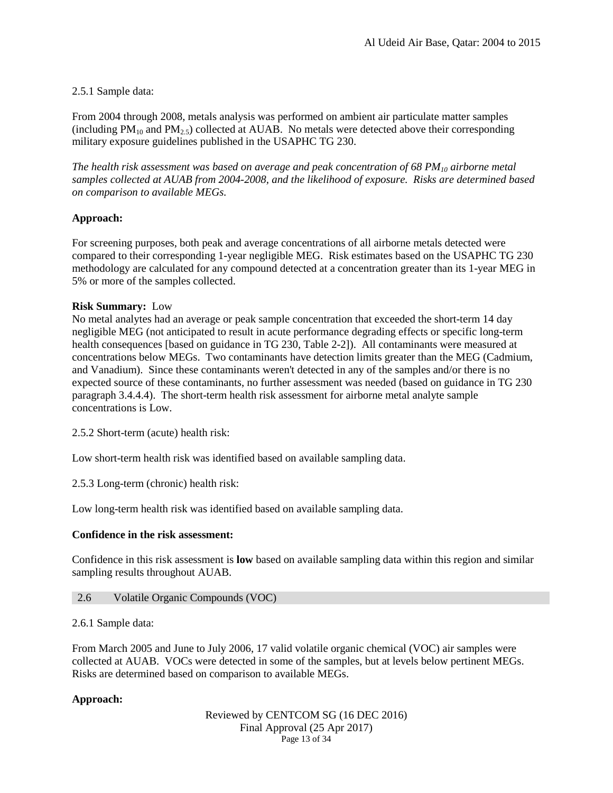# <span id="page-12-0"></span>2.5.1 Sample data:

From 2004 through 2008, metals analysis was performed on ambient air particulate matter samples (including  $PM_{10}$  and  $PM_{2.5}$ ) collected at AUAB. No metals were detected above their corresponding military exposure guidelines published in the USAPHC TG 230.

*The health risk assessment was based on average and peak concentration of 68 PM10 airborne metal samples collected at AUAB from 2004-2008, and the likelihood of exposure. Risks are determined based on comparison to available MEGs.* 

# **Approach:**

For screening purposes, both peak and average concentrations of all airborne metals detected were compared to their corresponding 1-year negligible MEG. Risk estimates based on the USAPHC TG 230 methodology are calculated for any compound detected at a concentration greater than its 1-year MEG in 5% or more of the samples collected.

# **Risk Summary:** Low

No metal analytes had an average or peak sample concentration that exceeded the short-term 14 day negligible MEG (not anticipated to result in acute performance degrading effects or specific long-term health consequences [based on guidance in TG 230, Table 2-2]). All contaminants were measured at concentrations below MEGs. Two contaminants have detection limits greater than the MEG (Cadmium, and Vanadium). Since these contaminants weren't detected in any of the samples and/or there is no expected source of these contaminants, no further assessment was needed (based on guidance in TG 230 paragraph 3.4.4.4). The short-term health risk assessment for airborne metal analyte sample concentrations is Low.

2.5.2 Short-term (acute) health risk:

Low short-term health risk was identified based on available sampling data.

2.5.3 Long-term (chronic) health risk:

Low long-term health risk was identified based on available sampling data.

# **Confidence in the risk assessment:**

Confidence in this risk assessment is **low** based on available sampling data within this region and similar sampling results throughout AUAB.

# 2.6 Volatile Organic Compounds (VOC)

# <span id="page-12-1"></span>2.6.1 Sample data:

From March 2005 and June to July 2006, 17 valid volatile organic chemical (VOC) air samples were collected at AUAB. VOCs were detected in some of the samples, but at levels below pertinent MEGs. Risks are determined based on comparison to available MEGs.

# **Approach:**

Reviewed by CENTCOM SG (16 DEC 2016) Final Approval (25 Apr 2017) Page 13 of 34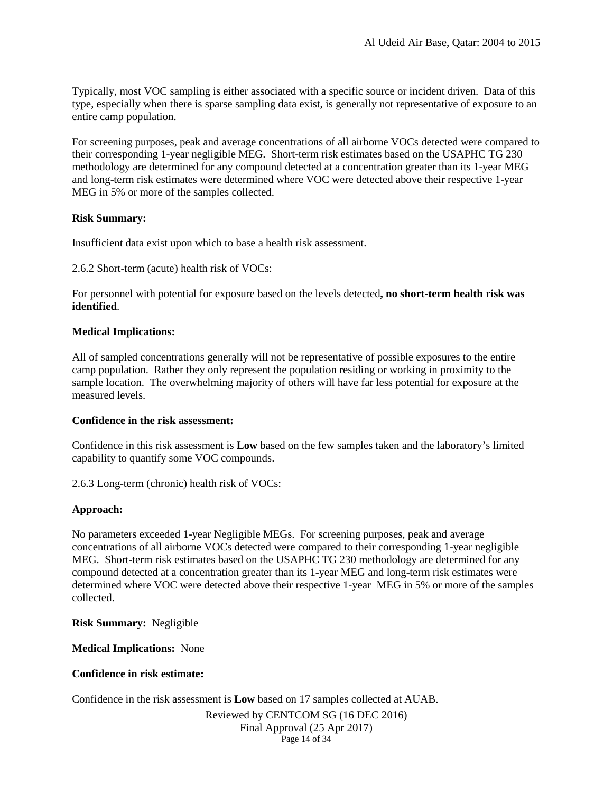Typically, most VOC sampling is either associated with a specific source or incident driven. Data of this type, especially when there is sparse sampling data exist, is generally not representative of exposure to an entire camp population.

For screening purposes, peak and average concentrations of all airborne VOCs detected were compared to their corresponding 1-year negligible MEG. Short-term risk estimates based on the USAPHC TG 230 methodology are determined for any compound detected at a concentration greater than its 1-year MEG and long-term risk estimates were determined where VOC were detected above their respective 1-year MEG in 5% or more of the samples collected.

# **Risk Summary:**

Insufficient data exist upon which to base a health risk assessment.

2.6.2 Short-term (acute) health risk of VOCs:

For personnel with potential for exposure based on the levels detected**, no short-term health risk was identified**.

### **Medical Implications:**

All of sampled concentrations generally will not be representative of possible exposures to the entire camp population. Rather they only represent the population residing or working in proximity to the sample location. The overwhelming majority of others will have far less potential for exposure at the measured levels.

# **Confidence in the risk assessment:**

Confidence in this risk assessment is **Low** based on the few samples taken and the laboratory's limited capability to quantify some VOC compounds.

2.6.3 Long-term (chronic) health risk of VOCs:

# **Approach:**

No parameters exceeded 1-year Negligible MEGs. For screening purposes, peak and average concentrations of all airborne VOCs detected were compared to their corresponding 1-year negligible MEG. Short-term risk estimates based on the USAPHC TG 230 methodology are determined for any compound detected at a concentration greater than its 1-year MEG and long-term risk estimates were determined where VOC were detected above their respective 1-year MEG in 5% or more of the samples collected.

**Risk Summary:** Negligible

**Medical Implications:** None

# **Confidence in risk estimate:**

Confidence in the risk assessment is **Low** based on 17 samples collected at AUAB.

<span id="page-13-0"></span>Reviewed by CENTCOM SG (16 DEC 2016) Final Approval (25 Apr 2017) Page 14 of 34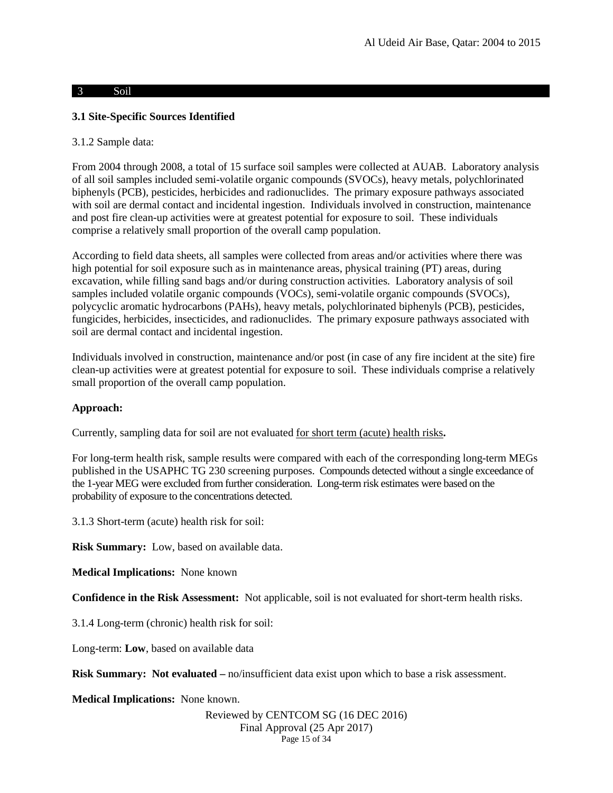### 3 Soil

# **3.1 Site-Specific Sources Identified**

### 3.1.2 Sample data:

From 2004 through 2008, a total of 15 surface soil samples were collected at AUAB. Laboratory analysis of all soil samples included semi-volatile organic compounds (SVOCs), heavy metals, polychlorinated biphenyls (PCB), pesticides, herbicides and radionuclides. The primary exposure pathways associated with soil are dermal contact and incidental ingestion. Individuals involved in construction, maintenance and post fire clean-up activities were at greatest potential for exposure to soil. These individuals comprise a relatively small proportion of the overall camp population.

According to field data sheets, all samples were collected from areas and/or activities where there was high potential for soil exposure such as in maintenance areas, physical training (PT) areas, during excavation, while filling sand bags and/or during construction activities. Laboratory analysis of soil samples included volatile organic compounds (VOCs), semi-volatile organic compounds (SVOCs), polycyclic aromatic hydrocarbons (PAHs), heavy metals, polychlorinated biphenyls (PCB), pesticides, fungicides, herbicides, insecticides, and radionuclides. The primary exposure pathways associated with soil are dermal contact and incidental ingestion.

Individuals involved in construction, maintenance and/or post (in case of any fire incident at the site) fire clean-up activities were at greatest potential for exposure to soil. These individuals comprise a relatively small proportion of the overall camp population.

# **Approach:**

Currently, sampling data for soil are not evaluated for short term (acute) health risks**.**

For long-term health risk, sample results were compared with each of the corresponding long-term MEGs published in the USAPHC TG 230 screening purposes. Compounds detected without a single exceedance of the 1-year MEG were excluded from further consideration. Long-term risk estimates were based on the probability of exposure to the concentrations detected.

3.1.3 Short-term (acute) health risk for soil:

**Risk Summary:** Low, based on available data.

**Medical Implications:** None known

**Confidence in the Risk Assessment:** Not applicable, soil is not evaluated for short-term health risks.

3.1.4 Long-term (chronic) health risk for soil:

Long-term: **Low**, based on available data

**Risk Summary:** Not evaluated – no/insufficient data exist upon which to base a risk assessment.

**Medical Implications:** None known.

Reviewed by CENTCOM SG (16 DEC 2016) Final Approval (25 Apr 2017) Page 15 of 34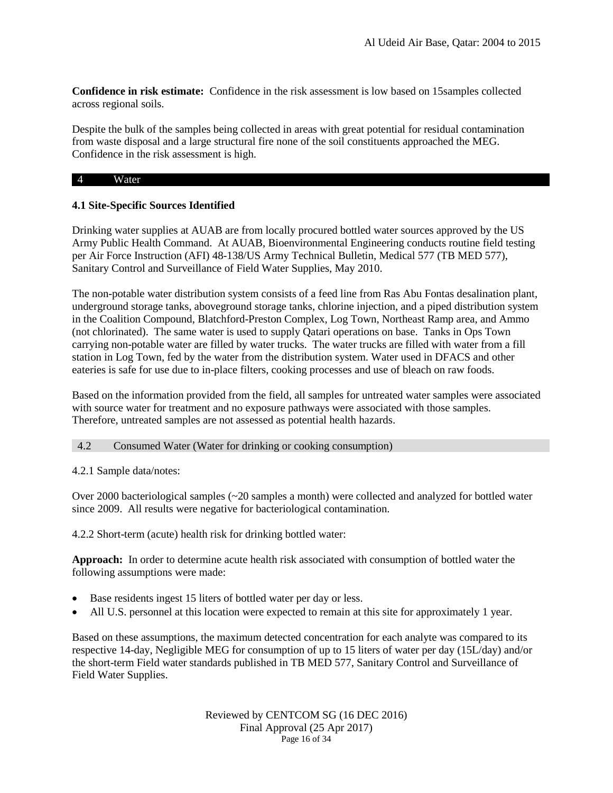**Confidence in risk estimate:** Confidence in the risk assessment is low based on 15samples collected across regional soils.

Despite the bulk of the samples being collected in areas with great potential for residual contamination from waste disposal and a large structural fire none of the soil constituents approached the MEG. Confidence in the risk assessment is high.

### 4 Water

# **4.1 Site-Specific Sources Identified**

Drinking water supplies at AUAB are from locally procured bottled water sources approved by the US Army Public Health Command. At AUAB, Bioenvironmental Engineering conducts routine field testing per Air Force Instruction (AFI) 48-138/US Army Technical Bulletin, Medical 577 (TB MED 577), Sanitary Control and Surveillance of Field Water Supplies, May 2010.

<span id="page-15-0"></span>The non-potable water distribution system consists of a feed line from Ras Abu Fontas desalination plant, underground storage tanks, aboveground storage tanks, chlorine injection, and a piped distribution system in the Coalition Compound, Blatchford-Preston Complex, Log Town, Northeast Ramp area, and Ammo (not chlorinated). The same water is used to supply Qatari operations on base. Tanks in Ops Town carrying non-potable water are filled by water trucks. The water trucks are filled with water from a fill station in Log Town, fed by the water from the distribution system. Water used in DFACS and other eateries is safe for use due to in-place filters, cooking processes and use of bleach on raw foods.

Based on the information provided from the field, all samples for untreated water samples were associated with source water for treatment and no exposure pathways were associated with those samples. Therefore, untreated samples are not assessed as potential health hazards.

# 4.2 Consumed Water (Water for drinking or cooking consumption)

4.2.1 Sample data/notes:

Over 2000 bacteriological samples (~20 samples a month) were collected and analyzed for bottled water since 2009. All results were negative for bacteriological contamination.

4.2.2 Short-term (acute) health risk for drinking bottled water:

**Approach:** In order to determine acute health risk associated with consumption of bottled water the following assumptions were made:

- Base residents ingest 15 liters of bottled water per day or less.
- All U.S. personnel at this location were expected to remain at this site for approximately 1 year.

Based on these assumptions, the maximum detected concentration for each analyte was compared to its respective 14-day, Negligible MEG for consumption of up to 15 liters of water per day (15L/day) and/or the short-term Field water standards published in TB MED 577, Sanitary Control and Surveillance of Field Water Supplies.

> Reviewed by CENTCOM SG (16 DEC 2016) Final Approval (25 Apr 2017) Page 16 of 34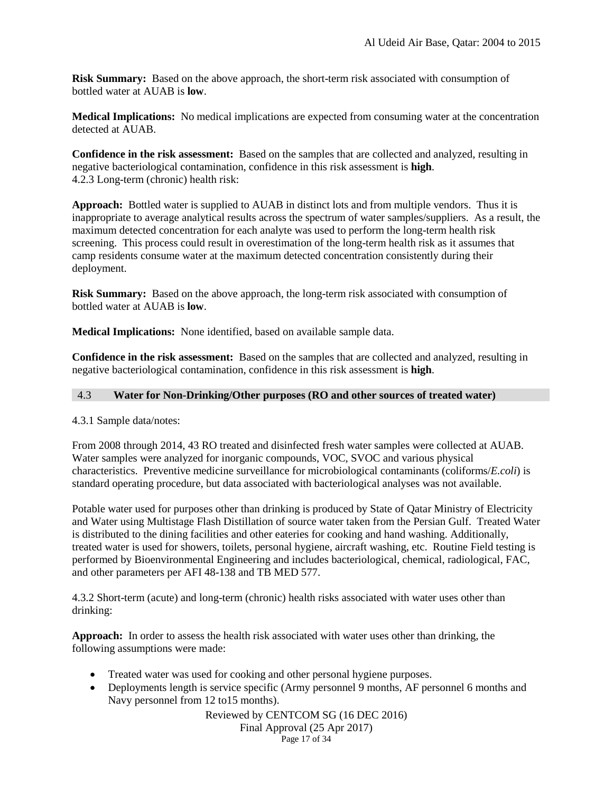**Risk Summary:** Based on the above approach, the short-term risk associated with consumption of bottled water at AUAB is **low**.

**Medical Implications:** No medical implications are expected from consuming water at the concentration detected at AUAB.

**Confidence in the risk assessment:** Based on the samples that are collected and analyzed, resulting in negative bacteriological contamination, confidence in this risk assessment is **high**. 4.2.3 Long-term (chronic) health risk:

**Approach:** Bottled water is supplied to AUAB in distinct lots and from multiple vendors. Thus it is inappropriate to average analytical results across the spectrum of water samples/suppliers. As a result, the maximum detected concentration for each analyte was used to perform the long-term health risk screening. This process could result in overestimation of the long-term health risk as it assumes that camp residents consume water at the maximum detected concentration consistently during their deployment.

**Risk Summary:** Based on the above approach, the long-term risk associated with consumption of bottled water at AUAB is **low**.

**Medical Implications:** None identified, based on available sample data.

**Confidence in the risk assessment:** Based on the samples that are collected and analyzed, resulting in negative bacteriological contamination, confidence in this risk assessment is **high**.

### <span id="page-16-0"></span>4.3 **Water for Non-Drinking/Other purposes (RO and other sources of treated water)**

# 4.3.1 Sample data/notes:

From 2008 through 2014, 43 RO treated and disinfected fresh water samples were collected at AUAB. Water samples were analyzed for inorganic compounds, VOC, SVOC and various physical characteristics. Preventive medicine surveillance for microbiological contaminants (coliforms/*E.coli*) is standard operating procedure, but data associated with bacteriological analyses was not available.

Potable water used for purposes other than drinking is produced by State of Qatar Ministry of Electricity and Water using Multistage Flash Distillation of source water taken from the Persian Gulf. Treated Water is distributed to the dining facilities and other eateries for cooking and hand washing. Additionally, treated water is used for showers, toilets, personal hygiene, aircraft washing, etc. Routine Field testing is performed by Bioenvironmental Engineering and includes bacteriological, chemical, radiological, FAC, and other parameters per AFI 48-138 and TB MED 577.

4.3.2 Short-term (acute) and long-term (chronic) health risks associated with water uses other than drinking:

**Approach:** In order to assess the health risk associated with water uses other than drinking, the following assumptions were made:

- Treated water was used for cooking and other personal hygiene purposes.
- Deployments length is service specific (Army personnel 9 months, AF personnel 6 months and Navy personnel from 12 to15 months).

Reviewed by CENTCOM SG (16 DEC 2016) Final Approval (25 Apr 2017) Page 17 of 34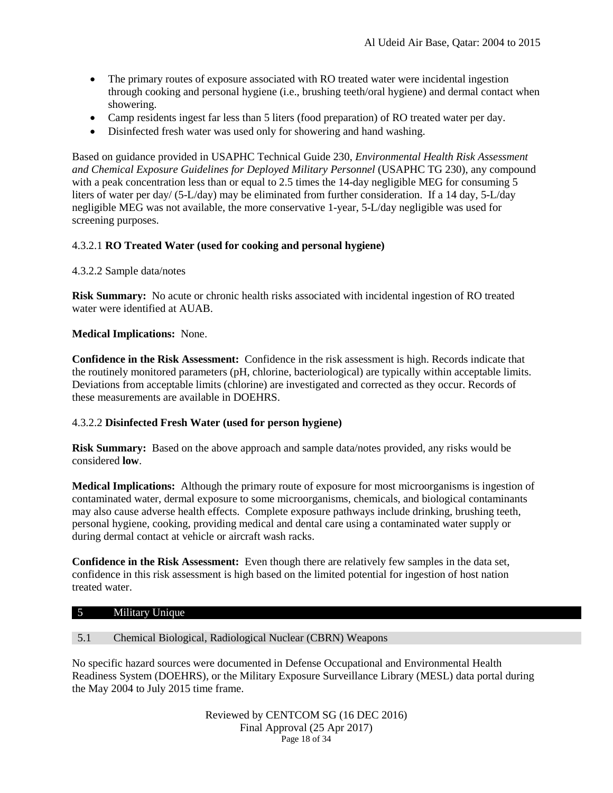- The primary routes of exposure associated with RO treated water were incidental ingestion through cooking and personal hygiene (i.e., brushing teeth/oral hygiene) and dermal contact when showering.
- Camp residents ingest far less than 5 liters (food preparation) of RO treated water per day.
- Disinfected fresh water was used only for showering and hand washing.

Based on guidance provided in USAPHC Technical Guide 230, *Environmental Health Risk Assessment and Chemical Exposure Guidelines for Deployed Military Personnel* (USAPHC TG 230), any compound with a peak concentration less than or equal to 2.5 times the 14-day negligible MEG for consuming 5 liters of water per day/ (5-L/day) may be eliminated from further consideration. If a 14 day, 5-L/day negligible MEG was not available, the more conservative 1-year, 5-L/day negligible was used for screening purposes.

# 4.3.2.1 **RO Treated Water (used for cooking and personal hygiene)**

# 4.3.2.2 Sample data/notes

**Risk Summary:** No acute or chronic health risks associated with incidental ingestion of RO treated water were identified at AUAB.

# **Medical Implications:** None.

**Confidence in the Risk Assessment:** Confidence in the risk assessment is high. Records indicate that the routinely monitored parameters (pH, chlorine, bacteriological) are typically within acceptable limits. Deviations from acceptable limits (chlorine) are investigated and corrected as they occur. Records of these measurements are available in DOEHRS.

# 4.3.2.2 **Disinfected Fresh Water (used for person hygiene)**

**Risk Summary:** Based on the above approach and sample data/notes provided, any risks would be considered **low**.

**Medical Implications:** Although the primary route of exposure for most microorganisms is ingestion of contaminated water, dermal exposure to some microorganisms, chemicals, and biological contaminants may also cause adverse health effects. Complete exposure pathways include drinking, brushing teeth, personal hygiene, cooking, providing medical and dental care using a contaminated water supply or during dermal contact at vehicle or aircraft wash racks.

**Confidence in the Risk Assessment:** Even though there are relatively few samples in the data set, confidence in this risk assessment is high based on the limited potential for ingestion of host nation treated water.

# <span id="page-17-0"></span>5 Military Unique

# <span id="page-17-1"></span>5.1 Chemical Biological, Radiological Nuclear (CBRN) Weapons

No specific hazard sources were documented in Defense Occupational and Environmental Health Readiness System (DOEHRS), or the Military Exposure Surveillance Library (MESL) data portal during the May 2004 to July 2015 time frame.

> Reviewed by CENTCOM SG (16 DEC 2016) Final Approval (25 Apr 2017) Page 18 of 34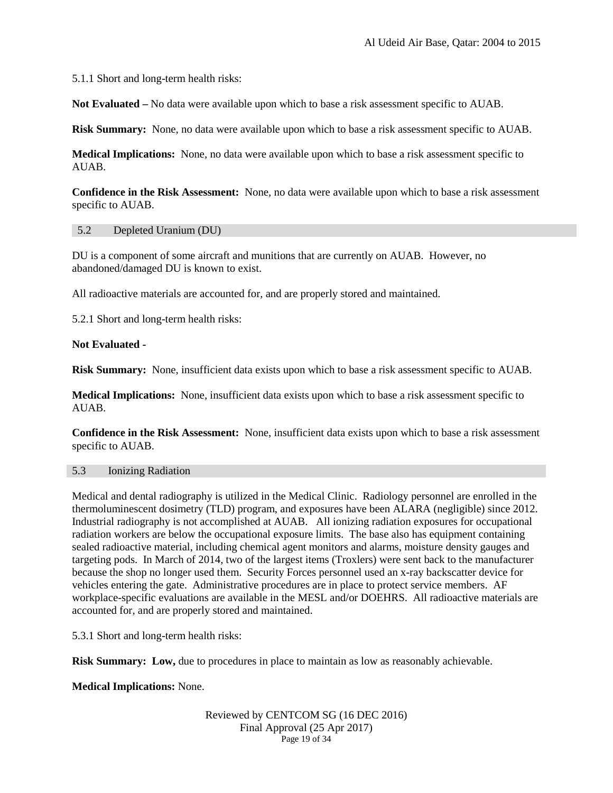5.1.1 Short and long-term health risks:

**Not Evaluated –** No data were available upon which to base a risk assessment specific to AUAB.

**Risk Summary:** None, no data were available upon which to base a risk assessment specific to AUAB.

**Medical Implications:** None, no data were available upon which to base a risk assessment specific to AUAB.

**Confidence in the Risk Assessment:** None, no data were available upon which to base a risk assessment specific to AUAB.

### <span id="page-18-0"></span>5.2 Depleted Uranium (DU)

DU is a component of some aircraft and munitions that are currently on AUAB. However, no abandoned/damaged DU is known to exist.

All radioactive materials are accounted for, and are properly stored and maintained.

5.2.1 Short and long-term health risks:

# **Not Evaluated -**

**Risk Summary:** None, insufficient data exists upon which to base a risk assessment specific to AUAB.

**Medical Implications:** None, insufficient data exists upon which to base a risk assessment specific to AUAB.

**Confidence in the Risk Assessment:** None, insufficient data exists upon which to base a risk assessment specific to AUAB.

# <span id="page-18-1"></span>5.3 Ionizing Radiation

Medical and dental radiography is utilized in the Medical Clinic. Radiology personnel are enrolled in the thermoluminescent dosimetry (TLD) program, and exposures have been ALARA (negligible) since 2012. Industrial radiography is not accomplished at AUAB. All ionizing radiation exposures for occupational radiation workers are below the occupational exposure limits. The base also has equipment containing sealed radioactive material, including chemical agent monitors and alarms, moisture density gauges and targeting pods. In March of 2014, two of the largest items (Troxlers) were sent back to the manufacturer because the shop no longer used them. Security Forces personnel used an x-ray backscatter device for vehicles entering the gate. Administrative procedures are in place to protect service members. AF workplace-specific evaluations are available in the MESL and/or DOEHRS. All radioactive materials are accounted for, and are properly stored and maintained.

5.3.1 Short and long-term health risks:

**Risk Summary:** Low, due to procedures in place to maintain as low as reasonably achievable.

# **Medical Implications:** None.

#### Reviewed by CENTCOM SG (16 DEC 2016) Final Approval (25 Apr 2017) Page 19 of 34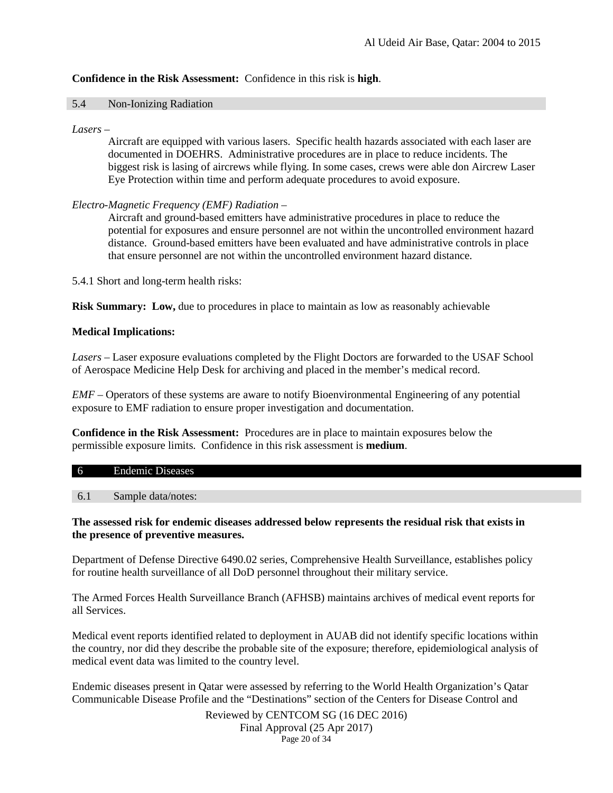# **Confidence in the Risk Assessment:** Confidence in this risk is **high**.

### <span id="page-19-0"></span>5.4 Non-Ionizing Radiation

### *Lasers* –

Aircraft are equipped with various lasers. Specific health hazards associated with each laser are documented in DOEHRS. Administrative procedures are in place to reduce incidents. The biggest risk is lasing of aircrews while flying. In some cases, crews were able don Aircrew Laser Eye Protection within time and perform adequate procedures to avoid exposure.

# *Electro-Magnetic Frequency (EMF) Radiation* –

Aircraft and ground-based emitters have administrative procedures in place to reduce the potential for exposures and ensure personnel are not within the uncontrolled environment hazard distance. Ground-based emitters have been evaluated and have administrative controls in place that ensure personnel are not within the uncontrolled environment hazard distance.

5.4.1 Short and long-term health risks:

**Risk Summary:** Low, due to procedures in place to maintain as low as reasonably achievable

# **Medical Implications:**

*Lasers –* Laser exposure evaluations completed by the Flight Doctors are forwarded to the USAF School of Aerospace Medicine Help Desk for archiving and placed in the member's medical record.

*EMF –* Operators of these systems are aware to notify Bioenvironmental Engineering of any potential exposure to EMF radiation to ensure proper investigation and documentation.

**Confidence in the Risk Assessment:** Procedures are in place to maintain exposures below the permissible exposure limits. Confidence in this risk assessment is **medium**.

#### 6 Endemic Diseases

6.1 Sample data/notes:

# **The assessed risk for endemic diseases addressed below represents the residual risk that exists in the presence of preventive measures.**

Department of Defense Directive 6490.02 series, Comprehensive Health Surveillance, establishes policy for routine health surveillance of all DoD personnel throughout their military service.

The Armed Forces Health Surveillance Branch (AFHSB) maintains archives of medical event reports for all Services.

Medical event reports identified related to deployment in AUAB did not identify specific locations within the country, nor did they describe the probable site of the exposure; therefore, epidemiological analysis of medical event data was limited to the country level.

Endemic diseases present in Qatar were assessed by referring to the World Health Organization's Qatar Communicable Disease Profile and the "Destinations" section of the Centers for Disease Control and

> Reviewed by CENTCOM SG (16 DEC 2016) Final Approval (25 Apr 2017) Page 20 of 34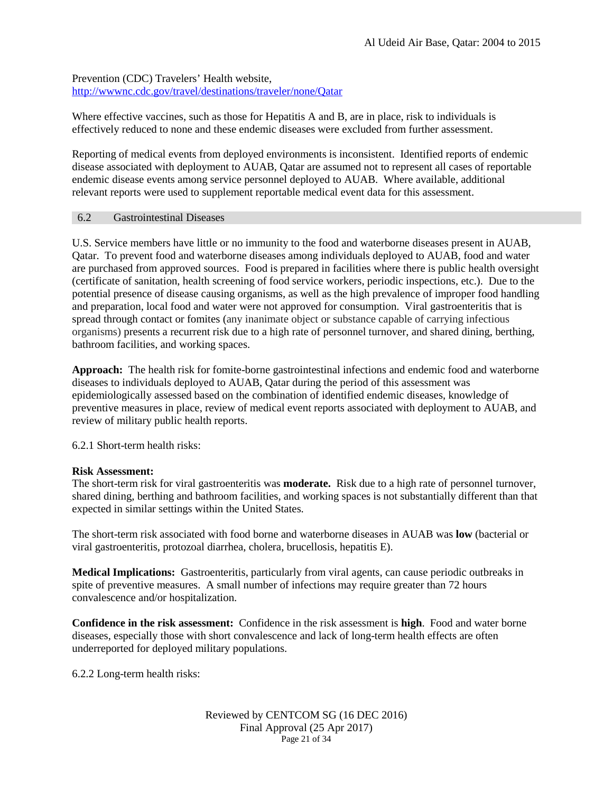Prevention (CDC) Travelers' Health website, <http://wwwnc.cdc.gov/travel/destinations/traveler/none/Qatar>

Where effective vaccines, such as those for Hepatitis A and B, are in place, risk to individuals is effectively reduced to none and these endemic diseases were excluded from further assessment.

Reporting of medical events from deployed environments is inconsistent. Identified reports of endemic disease associated with deployment to AUAB, Qatar are assumed not to represent all cases of reportable endemic disease events among service personnel deployed to AUAB. Where available, additional relevant reports were used to supplement reportable medical event data for this assessment.

# <span id="page-20-0"></span>6.2 Gastrointestinal Diseases

U.S. Service members have little or no immunity to the food and waterborne diseases present in AUAB, Qatar. To prevent food and waterborne diseases among individuals deployed to AUAB, food and water are purchased from approved sources. Food is prepared in facilities where there is public health oversight (certificate of sanitation, health screening of food service workers, periodic inspections, etc.). Due to the potential presence of disease causing organisms, as well as the high prevalence of improper food handling and preparation, local food and water were not approved for consumption. Viral gastroenteritis that is spread through contact or fomites (any inanimate object or substance capable of carrying infectious organisms) presents a recurrent risk due to a high rate of personnel turnover, and shared dining, berthing, bathroom facilities, and working spaces.

**Approach:** The health risk for fomite-borne gastrointestinal infections and endemic food and waterborne diseases to individuals deployed to AUAB, Qatar during the period of this assessment was epidemiologically assessed based on the combination of identified endemic diseases, knowledge of preventive measures in place, review of medical event reports associated with deployment to AUAB, and review of military public health reports.

6.2.1 Short-term health risks:

# **Risk Assessment:**

The short-term risk for viral gastroenteritis was **moderate.** Risk due to a high rate of personnel turnover, shared dining, berthing and bathroom facilities, and working spaces is not substantially different than that expected in similar settings within the United States.

The short-term risk associated with food borne and waterborne diseases in AUAB was **low** (bacterial or viral gastroenteritis, protozoal diarrhea, cholera, brucellosis, hepatitis E).

**Medical Implications:** Gastroenteritis, particularly from viral agents, can cause periodic outbreaks in spite of preventive measures. A small number of infections may require greater than 72 hours convalescence and/or hospitalization.

**Confidence in the risk assessment:** Confidence in the risk assessment is **high**. Food and water borne diseases, especially those with short convalescence and lack of long-term health effects are often underreported for deployed military populations.

6.2.2 Long-term health risks:

#### Reviewed by CENTCOM SG (16 DEC 2016) Final Approval (25 Apr 2017) Page 21 of 34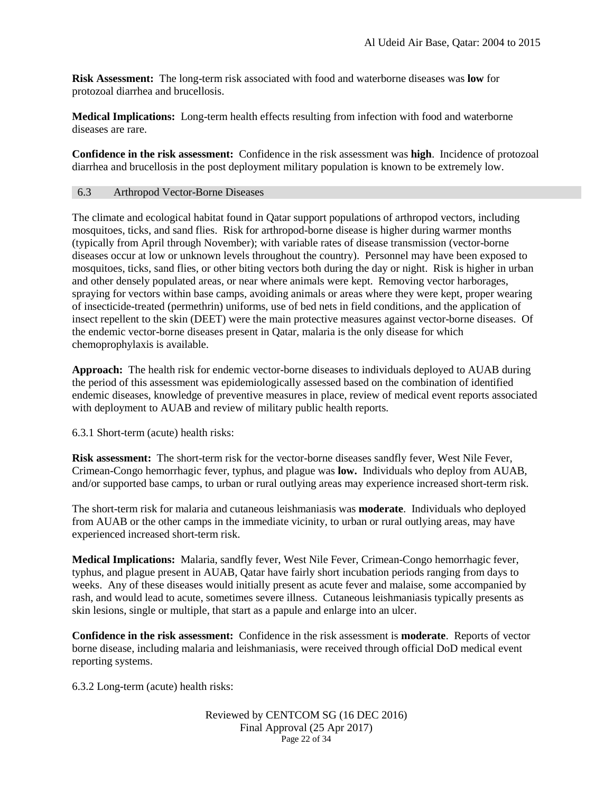**Risk Assessment:** The long-term risk associated with food and waterborne diseases was **low** for protozoal diarrhea and brucellosis.

**Medical Implications:** Long-term health effects resulting from infection with food and waterborne diseases are rare.

**Confidence in the risk assessment:** Confidence in the risk assessment was **high**. Incidence of protozoal diarrhea and brucellosis in the post deployment military population is known to be extremely low.

# <span id="page-21-0"></span>6.3 Arthropod Vector-Borne Diseases

The climate and ecological habitat found in Qatar support populations of arthropod vectors, including mosquitoes, ticks, and sand flies. Risk for arthropod-borne disease is higher during warmer months (typically from April through November); with variable rates of disease transmission (vector-borne diseases occur at low or unknown levels throughout the country). Personnel may have been exposed to mosquitoes, ticks, sand flies, or other biting vectors both during the day or night. Risk is higher in urban and other densely populated areas, or near where animals were kept. Removing vector harborages, spraying for vectors within base camps, avoiding animals or areas where they were kept, proper wearing of insecticide-treated (permethrin) uniforms, use of bed nets in field conditions, and the application of insect repellent to the skin (DEET) were the main protective measures against vector-borne diseases. Of the endemic vector-borne diseases present in Qatar, malaria is the only disease for which chemoprophylaxis is available.

**Approach:** The health risk for endemic vector-borne diseases to individuals deployed to AUAB during the period of this assessment was epidemiologically assessed based on the combination of identified endemic diseases, knowledge of preventive measures in place, review of medical event reports associated with deployment to AUAB and review of military public health reports.

6.3.1 Short-term (acute) health risks:

**Risk assessment:** The short-term risk for the vector-borne diseases sandfly fever, West Nile Fever, Crimean-Congo hemorrhagic fever, typhus, and plague was **low.** Individuals who deploy from AUAB, and/or supported base camps, to urban or rural outlying areas may experience increased short-term risk.

The short-term risk for malaria and cutaneous leishmaniasis was **moderate**. Individuals who deployed from AUAB or the other camps in the immediate vicinity, to urban or rural outlying areas, may have experienced increased short-term risk.

**Medical Implications:** Malaria, sandfly fever, West Nile Fever, Crimean-Congo hemorrhagic fever, typhus, and plague present in AUAB, Qatar have fairly short incubation periods ranging from days to weeks. Any of these diseases would initially present as acute fever and malaise, some accompanied by rash, and would lead to acute, sometimes severe illness. Cutaneous leishmaniasis typically presents as skin lesions, single or multiple, that start as a papule and enlarge into an ulcer.

**Confidence in the risk assessment:** Confidence in the risk assessment is **moderate**. Reports of vector borne disease, including malaria and leishmaniasis, were received through official DoD medical event reporting systems.

6.3.2 Long-term (acute) health risks:

#### Reviewed by CENTCOM SG (16 DEC 2016) Final Approval (25 Apr 2017) Page 22 of 34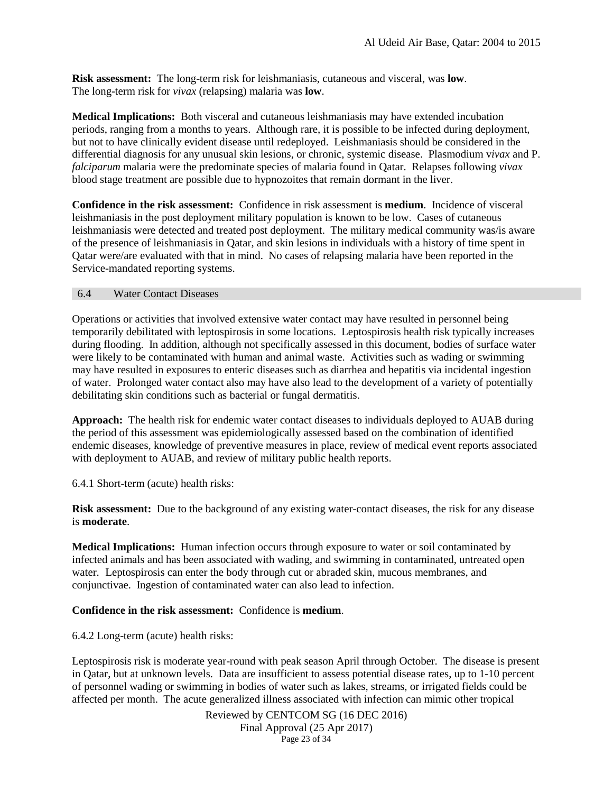**Risk assessment:** The long-term risk for leishmaniasis, cutaneous and visceral, was **low**. The long-term risk for *vivax* (relapsing) malaria was **low**.

**Medical Implications:** Both visceral and cutaneous leishmaniasis may have extended incubation periods, ranging from a months to years. Although rare, it is possible to be infected during deployment, but not to have clinically evident disease until redeployed. Leishmaniasis should be considered in the differential diagnosis for any unusual skin lesions, or chronic, systemic disease. Plasmodium v*ivax* and P. *falciparum* malaria were the predominate species of malaria found in Qatar. Relapses following *vivax* blood stage treatment are possible due to hypnozoites that remain dormant in the liver.

**Confidence in the risk assessment:** Confidence in risk assessment is **medium**. Incidence of visceral leishmaniasis in the post deployment military population is known to be low. Cases of cutaneous leishmaniasis were detected and treated post deployment. The military medical community was/is aware of the presence of leishmaniasis in Qatar, and skin lesions in individuals with a history of time spent in Qatar were/are evaluated with that in mind. No cases of relapsing malaria have been reported in the Service-mandated reporting systems.

### <span id="page-22-0"></span>6.4 Water Contact Diseases

Operations or activities that involved extensive water contact may have resulted in personnel being temporarily debilitated with leptospirosis in some locations. Leptospirosis health risk typically increases during flooding. In addition, although not specifically assessed in this document, bodies of surface water were likely to be contaminated with human and animal waste. Activities such as wading or swimming may have resulted in exposures to enteric diseases such as diarrhea and hepatitis via incidental ingestion of water. Prolonged water contact also may have also lead to the development of a variety of potentially debilitating skin conditions such as bacterial or fungal dermatitis.

**Approach:** The health risk for endemic water contact diseases to individuals deployed to AUAB during the period of this assessment was epidemiologically assessed based on the combination of identified endemic diseases, knowledge of preventive measures in place, review of medical event reports associated with deployment to AUAB, and review of military public health reports.

6.4.1 Short-term (acute) health risks:

**Risk assessment:** Due to the background of any existing water-contact diseases, the risk for any disease is **moderate**.

**Medical Implications:** Human infection occurs through exposure to water or soil contaminated by infected animals and has been associated with wading, and swimming in contaminated, untreated open water. Leptospirosis can enter the body through cut or abraded skin, mucous membranes, and conjunctivae. Ingestion of contaminated water can also lead to infection.

# **Confidence in the risk assessment:** Confidence is **medium**.

6.4.2 Long-term (acute) health risks:

Leptospirosis risk is moderate year-round with peak season April through October. The disease is present in Qatar, but at unknown levels. Data are insufficient to assess potential disease rates, up to 1-10 percent of personnel wading or swimming in bodies of water such as lakes, streams, or irrigated fields could be affected per month. The acute generalized illness associated with infection can mimic other tropical

> Reviewed by CENTCOM SG (16 DEC 2016) Final Approval (25 Apr 2017) Page 23 of 34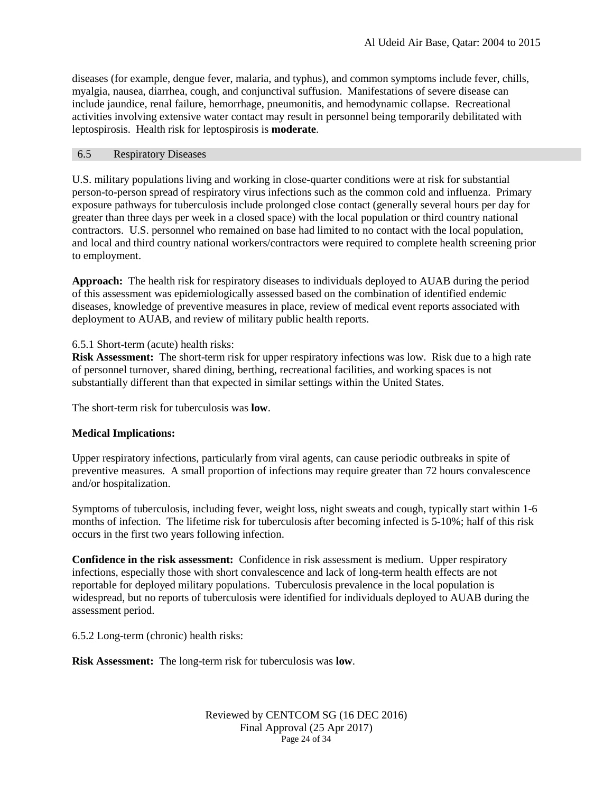diseases (for example, dengue fever, malaria, and typhus), and common symptoms include fever, chills, myalgia, nausea, diarrhea, cough, and conjunctival suffusion. Manifestations of severe disease can include jaundice, renal failure, hemorrhage, pneumonitis, and hemodynamic collapse. Recreational activities involving extensive water contact may result in personnel being temporarily debilitated with leptospirosis. Health risk for leptospirosis is **moderate**.

# <span id="page-23-0"></span>6.5 Respiratory Diseases

U.S. military populations living and working in close-quarter conditions were at risk for substantial person-to-person spread of respiratory virus infections such as the common cold and influenza. Primary exposure pathways for tuberculosis include prolonged close contact (generally several hours per day for greater than three days per week in a closed space) with the local population or third country national contractors. U.S. personnel who remained on base had limited to no contact with the local population, and local and third country national workers/contractors were required to complete health screening prior to employment.

**Approach:** The health risk for respiratory diseases to individuals deployed to AUAB during the period of this assessment was epidemiologically assessed based on the combination of identified endemic diseases, knowledge of preventive measures in place, review of medical event reports associated with deployment to AUAB, and review of military public health reports.

6.5.1 Short-term (acute) health risks:

**Risk Assessment:** The short-term risk for upper respiratory infections was low. Risk due to a high rate of personnel turnover, shared dining, berthing, recreational facilities, and working spaces is not substantially different than that expected in similar settings within the United States.

The short-term risk for tuberculosis was **low**.

# **Medical Implications:**

Upper respiratory infections, particularly from viral agents, can cause periodic outbreaks in spite of preventive measures. A small proportion of infections may require greater than 72 hours convalescence and/or hospitalization.

Symptoms of tuberculosis, including fever, weight loss, night sweats and cough, typically start within 1-6 months of infection. The lifetime risk for tuberculosis after becoming infected is 5-10%; half of this risk occurs in the first two years following infection.

**Confidence in the risk assessment:** Confidence in risk assessment is medium. Upper respiratory infections, especially those with short convalescence and lack of long-term health effects are not reportable for deployed military populations. Tuberculosis prevalence in the local population is widespread, but no reports of tuberculosis were identified for individuals deployed to AUAB during the assessment period.

6.5.2 Long-term (chronic) health risks:

**Risk Assessment:** The long-term risk for tuberculosis was **low**.

Reviewed by CENTCOM SG (16 DEC 2016) Final Approval (25 Apr 2017) Page 24 of 34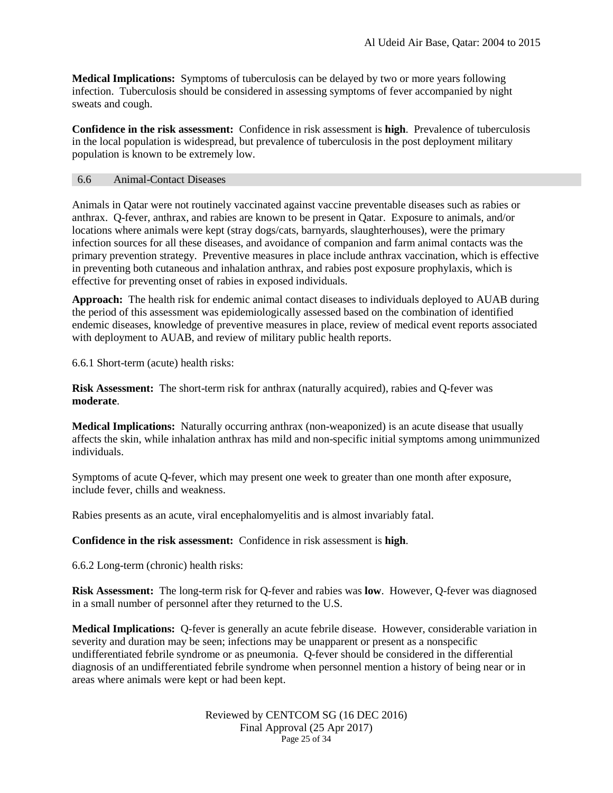**Medical Implications:** Symptoms of tuberculosis can be delayed by two or more years following infection. Tuberculosis should be considered in assessing symptoms of fever accompanied by night sweats and cough.

**Confidence in the risk assessment:** Confidence in risk assessment is **high**. Prevalence of tuberculosis in the local population is widespread, but prevalence of tuberculosis in the post deployment military population is known to be extremely low.

### <span id="page-24-0"></span>6.6 Animal-Contact Diseases

Animals in Qatar were not routinely vaccinated against vaccine preventable diseases such as rabies or anthrax. Q-fever, anthrax, and rabies are known to be present in Qatar. Exposure to animals, and/or locations where animals were kept (stray dogs/cats, barnyards, slaughterhouses), were the primary infection sources for all these diseases, and avoidance of companion and farm animal contacts was the primary prevention strategy. Preventive measures in place include anthrax vaccination, which is effective in preventing both cutaneous and inhalation anthrax, and rabies post exposure prophylaxis, which is effective for preventing onset of rabies in exposed individuals.

**Approach:** The health risk for endemic animal contact diseases to individuals deployed to AUAB during the period of this assessment was epidemiologically assessed based on the combination of identified endemic diseases, knowledge of preventive measures in place, review of medical event reports associated with deployment to AUAB, and review of military public health reports.

6.6.1 Short-term (acute) health risks:

**Risk Assessment:** The short-term risk for anthrax (naturally acquired), rabies and Q-fever was **moderate**.

**Medical Implications:** Naturally occurring anthrax (non-weaponized) is an acute disease that usually affects the skin, while inhalation anthrax has mild and non-specific initial symptoms among unimmunized individuals.

Symptoms of acute Q-fever, which may present one week to greater than one month after exposure, include fever, chills and weakness.

Rabies presents as an acute, viral encephalomyelitis and is almost invariably fatal.

**Confidence in the risk assessment:** Confidence in risk assessment is **high**.

6.6.2 Long-term (chronic) health risks:

**Risk Assessment:** The long-term risk for Q-fever and rabies was **low**. However, Q-fever was diagnosed in a small number of personnel after they returned to the U.S.

**Medical Implications:** Q-fever is generally an acute febrile disease. However, considerable variation in severity and duration may be seen; infections may be unapparent or present as a nonspecific undifferentiated febrile syndrome or as pneumonia. Q-fever should be considered in the differential diagnosis of an undifferentiated febrile syndrome when personnel mention a history of being near or in areas where animals were kept or had been kept.

> Reviewed by CENTCOM SG (16 DEC 2016) Final Approval (25 Apr 2017) Page 25 of 34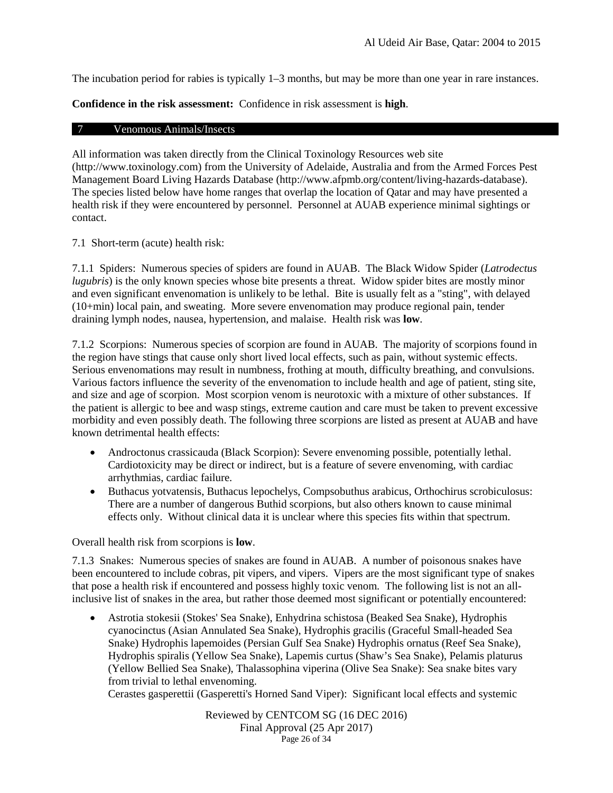The incubation period for rabies is typically 1–3 months, but may be more than one year in rare instances.

<span id="page-25-0"></span>**Confidence in the risk assessment:** Confidence in risk assessment is **high**.

### 7 Venomous Animals/Insects

All information was taken directly from the Clinical Toxinology Resources web site (http://www.toxinology.com) from the University of Adelaide, Australia and from the Armed Forces Pest Management Board Living Hazards Database (http://www.afpmb.org/content/living-hazards-database). The species listed below have home ranges that overlap the location of Qatar and may have presented a health risk if they were encountered by personnel. Personnel at AUAB experience minimal sightings or contact.

7.1 Short-term (acute) health risk:

7.1.1 Spiders: Numerous species of spiders are found in AUAB. The Black Widow Spider (*Latrodectus lugubris*) is the only known species whose bite presents a threat. Widow spider bites are mostly minor and even significant envenomation is unlikely to be lethal. Bite is usually felt as a "sting", with delayed (10+min) local pain, and sweating. More severe envenomation may produce regional pain, tender draining lymph nodes, nausea, hypertension, and malaise. Health risk was **low**.

7.1.2 Scorpions: Numerous species of scorpion are found in AUAB. The majority of scorpions found in the region have stings that cause only short lived local effects, such as pain, without systemic effects. Serious envenomations may result in numbness, frothing at mouth, difficulty breathing, and convulsions. Various factors influence the severity of the envenomation to include health and age of patient, sting site, and size and age of scorpion. Most scorpion venom is neurotoxic with a mixture of other substances. If the patient is allergic to bee and wasp stings, extreme caution and care must be taken to prevent excessive morbidity and even possibly death. The following three scorpions are listed as present at AUAB and have known detrimental health effects:

- Androctonus crassicauda (Black Scorpion): Severe envenoming possible, potentially lethal. Cardiotoxicity may be direct or indirect, but is a feature of severe envenoming, with cardiac arrhythmias, cardiac failure.
- Buthacus yotvatensis, Buthacus lepochelys, Compsobuthus arabicus, Orthochirus scrobiculosus: There are a number of dangerous Buthid scorpions, but also others known to cause minimal effects only. Without clinical data it is unclear where this species fits within that spectrum.

Overall health risk from scorpions is **low**.

7.1.3 Snakes: Numerous species of snakes are found in AUAB. A number of poisonous snakes have been encountered to include cobras, pit vipers, and vipers. Vipers are the most significant type of snakes that pose a health risk if encountered and possess highly toxic venom. The following list is not an allinclusive list of snakes in the area, but rather those deemed most significant or potentially encountered:

• Astrotia stokesii (Stokes' Sea Snake), Enhydrina schistosa (Beaked Sea Snake), Hydrophis cyanocinctus (Asian Annulated Sea Snake), Hydrophis gracilis (Graceful Small-headed Sea Snake) Hydrophis lapemoides (Persian Gulf Sea Snake) Hydrophis ornatus (Reef Sea Snake), Hydrophis spiralis (Yellow Sea Snake), Lapemis curtus (Shaw's Sea Snake), Pelamis platurus (Yellow Bellied Sea Snake), Thalassophina viperina (Olive Sea Snake): Sea snake bites vary from trivial to lethal envenoming.

Cerastes gasperettii (Gasperetti's Horned Sand Viper): Significant local effects and systemic

Reviewed by CENTCOM SG (16 DEC 2016) Final Approval (25 Apr 2017) Page 26 of 34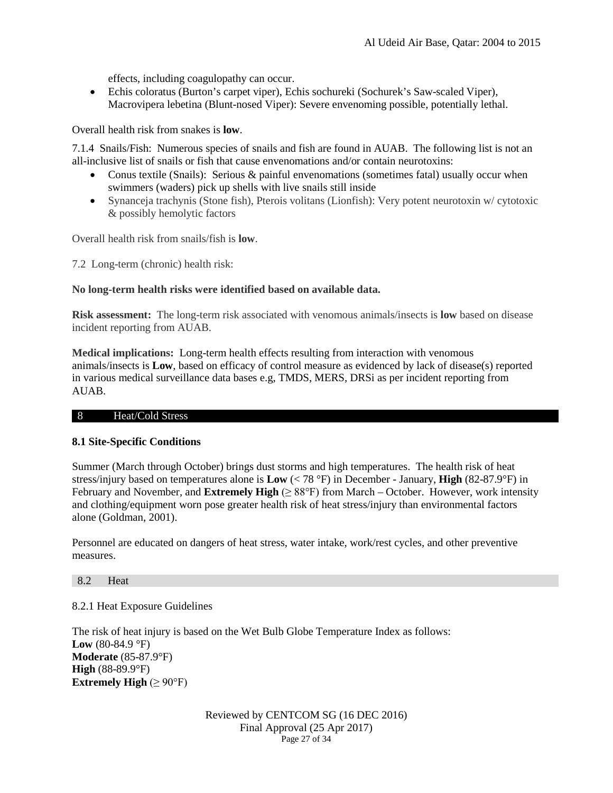effects, including coagulopathy can occur.

• Echis coloratus (Burton's carpet viper), Echis sochureki (Sochurek's Saw-scaled Viper), Macrovipera lebetina (Blunt-nosed Viper): Severe envenoming possible, potentially lethal.

Overall health risk from snakes is **low**.

7.1.4 Snails/Fish: Numerous species of snails and fish are found in AUAB. The following list is not an all-inclusive list of snails or fish that cause envenomations and/or contain neurotoxins:

- Conus textile (Snails): Serious & painful envenomations (sometimes fatal) usually occur when swimmers (waders) pick up shells with live snails still inside
- Synanceja trachynis (Stone fish), Pterois volitans (Lionfish): Very potent neurotoxin w/ cytotoxic & possibly hemolytic factors

Overall health risk from snails/fish is **low**.

7.2 Long-term (chronic) health risk:

# **No long-term health risks were identified based on available data.**

**Risk assessment:** The long-term risk associated with venomous animals/insects is **low** based on disease incident reporting from AUAB.

**Medical implications:** Long-term health effects resulting from interaction with venomous animals/insects is **Low**, based on efficacy of control measure as evidenced by lack of disease(s) reported in various medical surveillance data bases e.g, TMDS, MERS, DRSi as per incident reporting from AUAB.

#### 8 Heat/Cold Stress

# <span id="page-26-0"></span>**8.1 Site-Specific Conditions**

Summer (March through October) brings dust storms and high temperatures. The health risk of heat stress/injury based on temperatures alone is **Low** (< 78 °F) in December - January, **High** (82-87.9°F) in February and November, and **Extremely High** (≥ 88°F) from March – October. However, work intensity and clothing/equipment worn pose greater health risk of heat stress/injury than environmental factors alone (Goldman, 2001).

Personnel are educated on dangers of heat stress, water intake, work/rest cycles, and other preventive measures.

#### 8.2 Heat

# 8.2.1 Heat Exposure Guidelines

The risk of heat injury is based on the Wet Bulb Globe Temperature Index as follows: **Low** (80-84.9 °F) **Moderate** (85-87.9°F) **High** (88-89.9°F) **Extremely High**  $(\geq 90^{\circ}F)$ 

> Reviewed by CENTCOM SG (16 DEC 2016) Final Approval (25 Apr 2017) Page 27 of 34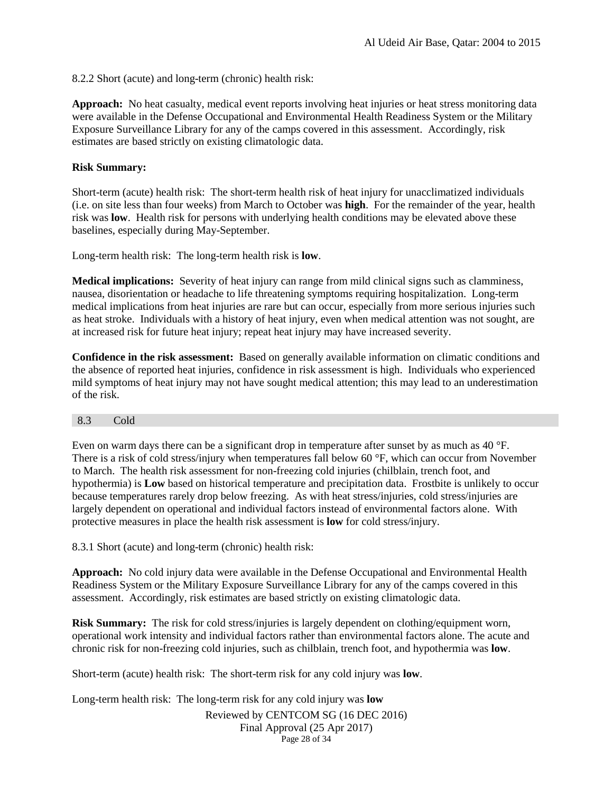8.2.2 Short (acute) and long-term (chronic) health risk:

**Approach:** No heat casualty, medical event reports involving heat injuries or heat stress monitoring data were available in the Defense Occupational and Environmental Health Readiness System or the Military Exposure Surveillance Library for any of the camps covered in this assessment. Accordingly, risk estimates are based strictly on existing climatologic data.

# **Risk Summary:**

Short-term (acute) health risk: The short-term health risk of heat injury for unacclimatized individuals (i.e. on site less than four weeks) from March to October was **high**. For the remainder of the year, health risk was **low**. Health risk for persons with underlying health conditions may be elevated above these baselines, especially during May-September.

Long-term health risk: The long-term health risk is **low**.

**Medical implications:** Severity of heat injury can range from mild clinical signs such as clamminess, nausea, disorientation or headache to life threatening symptoms requiring hospitalization. Long-term medical implications from heat injuries are rare but can occur, especially from more serious injuries such as heat stroke. Individuals with a history of heat injury, even when medical attention was not sought, are at increased risk for future heat injury; repeat heat injury may have increased severity.

**Confidence in the risk assessment:** Based on generally available information on climatic conditions and the absence of reported heat injuries, confidence in risk assessment is high. Individuals who experienced mild symptoms of heat injury may not have sought medical attention; this may lead to an underestimation of the risk.

# <span id="page-27-0"></span>8.3 Cold

Even on warm days there can be a significant drop in temperature after sunset by as much as 40 °F. There is a risk of cold stress/injury when temperatures fall below 60 °F, which can occur from November to March. The health risk assessment for non-freezing cold injuries (chilblain, trench foot, and hypothermia) is **Low** based on historical temperature and precipitation data. Frostbite is unlikely to occur because temperatures rarely drop below freezing. As with heat stress/injuries, cold stress/injuries are largely dependent on operational and individual factors instead of environmental factors alone. With protective measures in place the health risk assessment is **low** for cold stress/injury.

8.3.1 Short (acute) and long-term (chronic) health risk:

**Approach:** No cold injury data were available in the Defense Occupational and Environmental Health Readiness System or the Military Exposure Surveillance Library for any of the camps covered in this assessment. Accordingly, risk estimates are based strictly on existing climatologic data.

**Risk Summary:** The risk for cold stress/injuries is largely dependent on clothing/equipment worn, operational work intensity and individual factors rather than environmental factors alone. The acute and chronic risk for non-freezing cold injuries, such as chilblain, trench foot, and hypothermia was **low**.

Short-term (acute) health risk: The short-term risk for any cold injury was **low**.

Reviewed by CENTCOM SG (16 DEC 2016) Long-term health risk: The long-term risk for any cold injury was **low**

Final Approval (25 Apr 2017) Page 28 of 34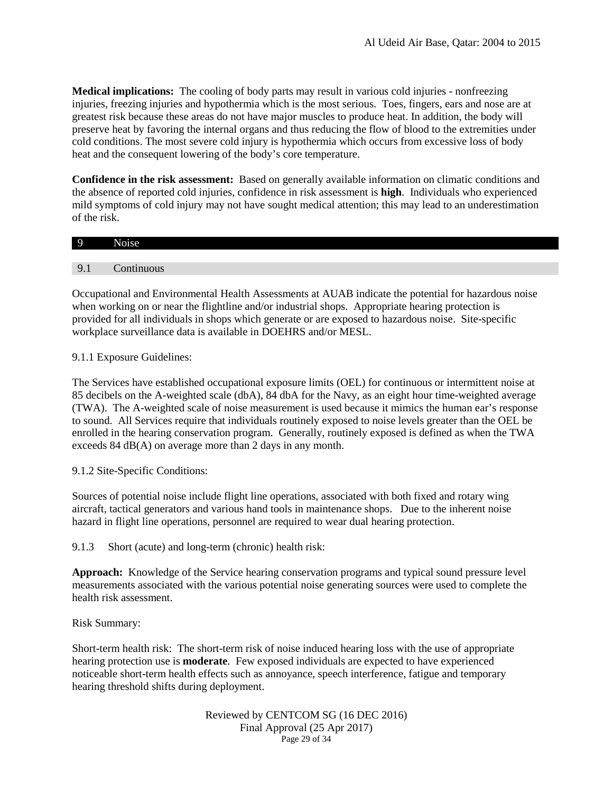**Medical implications:** The cooling of body parts may result in various cold injuries - nonfreezing injuries, freezing injuries and hypothermia which is the most serious. Toes, fingers, ears and nose are at greatest risk because these areas do not have major muscles to produce heat. In addition, the body will preserve heat by favoring the internal organs and thus reducing the flow of blood to the extremities under cold conditions. The most severe cold injury is hypothermia which occurs from excessive loss of body heat and the consequent lowering of the body's core temperature.

**Confidence in the risk assessment:** Based on generally available information on climatic conditions and the absence of reported cold injuries, confidence in risk assessment is **high**. Individuals who experienced mild symptoms of cold injury may not have sought medical attention; this may lead to an underestimation of the risk.

| O                             | $\sim$<br>٠ |
|-------------------------------|-------------|
|                               |             |
| Q<br>$\overline{\phantom{a}}$ |             |

<span id="page-28-0"></span>Occupational and Environmental Health Assessments at AUAB indicate the potential for hazardous noise when working on or near the flightline and/or industrial shops. Appropriate hearing protection is provided for all individuals in shops which generate or are exposed to hazardous noise. Site-specific workplace surveillance data is available in DOEHRS and/or MESL.

9.1.1 Exposure Guidelines:

The Services have established occupational exposure limits (OEL) for continuous or intermittent noise at 85 decibels on the A-weighted scale (dbA), 84 dbA for the Navy, as an eight hour time-weighted average (TWA). The A-weighted scale of noise measurement is used because it mimics the human ear's response to sound. All Services require that individuals routinely exposed to noise levels greater than the OEL be enrolled in the hearing conservation program. Generally, routinely exposed is defined as when the TWA exceeds 84 dB(A) on average more than 2 days in any month.

9.1.2 Site-Specific Conditions:

Sources of potential noise include flight line operations, associated with both fixed and rotary wing aircraft, tactical generators and various hand tools in maintenance shops. Due to the inherent noise hazard in flight line operations, personnel are required to wear dual hearing protection.

<span id="page-28-1"></span>9.1.3 Short (acute) and long-term (chronic) health risk:

**Approach:** Knowledge of the Service hearing conservation programs and typical sound pressure level measurements associated with the various potential noise generating sources were used to complete the health risk assessment.

Risk Summary:

Short-term health risk: The short-term risk of noise induced hearing loss with the use of appropriate hearing protection use is **moderate**. Few exposed individuals are expected to have experienced noticeable short-term health effects such as annoyance, speech interference, fatigue and temporary hearing threshold shifts during deployment.

> Reviewed by CENTCOM SG (16 DEC 2016) Final Approval (25 Apr 2017) Page 29 of 34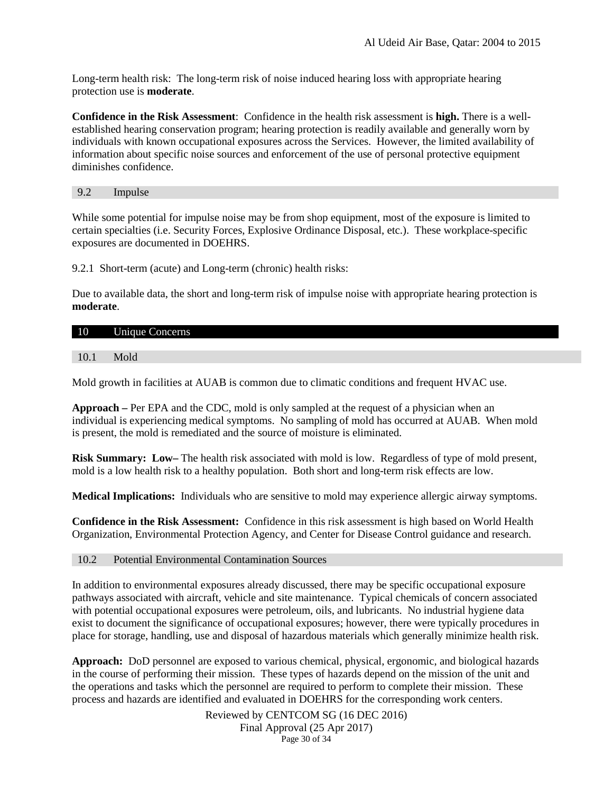Long-term health risk: The long-term risk of noise induced hearing loss with appropriate hearing protection use is **moderate**.

**Confidence in the Risk Assessment**: Confidence in the health risk assessment is **high.** There is a wellestablished hearing conservation program; hearing protection is readily available and generally worn by individuals with known occupational exposures across the Services. However, the limited availability of information about specific noise sources and enforcement of the use of personal protective equipment diminishes confidence.

9.2 Impulse

While some potential for impulse noise may be from shop equipment, most of the exposure is limited to certain specialties (i.e. Security Forces, Explosive Ordinance Disposal, etc.). These workplace-specific exposures are documented in DOEHRS.

9.2.1 Short-term (acute) and Long-term (chronic) health risks:

Due to available data, the short and long-term risk of impulse noise with appropriate hearing protection is **moderate**.

#### 10 Unique Concerns

<span id="page-29-0"></span>10.1 Mold

Mold growth in facilities at AUAB is common due to climatic conditions and frequent HVAC use.

**Approach –** Per EPA and the CDC, mold is only sampled at the request of a physician when an individual is experiencing medical symptoms. No sampling of mold has occurred at AUAB. When mold is present, the mold is remediated and the source of moisture is eliminated.

**Risk Summary: Low–** The health risk associated with mold is low. Regardless of type of mold present, mold is a low health risk to a healthy population. Both short and long-term risk effects are low.

**Medical Implications:** Individuals who are sensitive to mold may experience allergic airway symptoms.

**Confidence in the Risk Assessment:** Confidence in this risk assessment is high based on World Health Organization, Environmental Protection Agency, and Center for Disease Control guidance and research.

#### 10.2 Potential Environmental Contamination Sources

In addition to environmental exposures already discussed, there may be specific occupational exposure pathways associated with aircraft, vehicle and site maintenance. Typical chemicals of concern associated with potential occupational exposures were petroleum, oils, and lubricants. No industrial hygiene data exist to document the significance of occupational exposures; however, there were typically procedures in place for storage, handling, use and disposal of hazardous materials which generally minimize health risk.

**Approach:** DoD personnel are exposed to various chemical, physical, ergonomic, and biological hazards in the course of performing their mission. These types of hazards depend on the mission of the unit and the operations and tasks which the personnel are required to perform to complete their mission. These process and hazards are identified and evaluated in DOEHRS for the corresponding work centers.

> Reviewed by CENTCOM SG (16 DEC 2016) Final Approval (25 Apr 2017) Page 30 of 34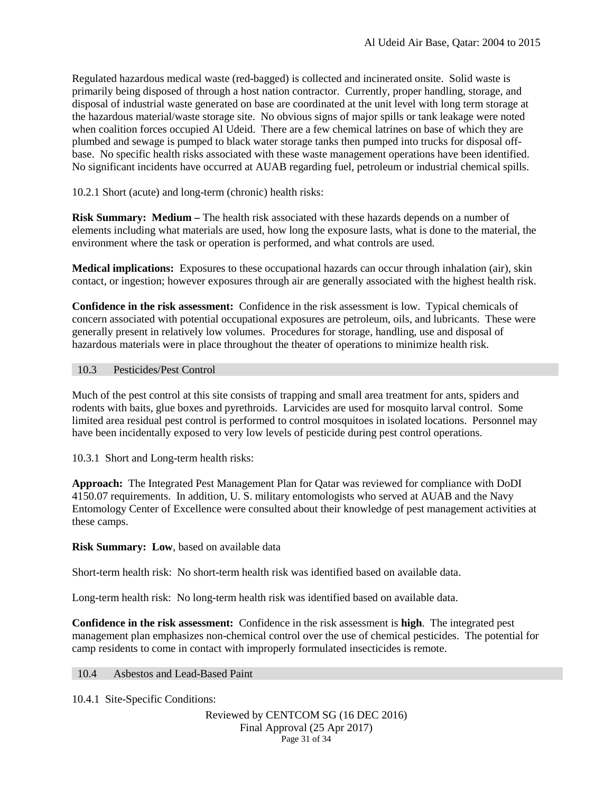Regulated hazardous medical waste (red-bagged) is collected and incinerated onsite. Solid waste is primarily being disposed of through a host nation contractor. Currently, proper handling, storage, and disposal of industrial waste generated on base are coordinated at the unit level with long term storage at the hazardous material/waste storage site. No obvious signs of major spills or tank leakage were noted when coalition forces occupied Al Udeid. There are a few chemical latrines on base of which they are plumbed and sewage is pumped to black water storage tanks then pumped into trucks for disposal offbase. No specific health risks associated with these waste management operations have been identified. No significant incidents have occurred at AUAB regarding fuel, petroleum or industrial chemical spills.

10.2.1 Short (acute) and long-term (chronic) health risks:

**Risk Summary: Medium** – The health risk associated with these hazards depends on a number of elements including what materials are used, how long the exposure lasts, what is done to the material, the environment where the task or operation is performed, and what controls are used.

**Medical implications:** Exposures to these occupational hazards can occur through inhalation (air), skin contact, or ingestion; however exposures through air are generally associated with the highest health risk.

**Confidence in the risk assessment:** Confidence in the risk assessment is low. Typical chemicals of concern associated with potential occupational exposures are petroleum, oils, and lubricants. These were generally present in relatively low volumes. Procedures for storage, handling, use and disposal of hazardous materials were in place throughout the theater of operations to minimize health risk.

# <span id="page-30-0"></span>10.3 Pesticides/Pest Control

Much of the pest control at this site consists of trapping and small area treatment for ants, spiders and rodents with baits, glue boxes and pyrethroids. Larvicides are used for mosquito larval control. Some limited area residual pest control is performed to control mosquitoes in isolated locations. Personnel may have been incidentally exposed to very low levels of pesticide during pest control operations.

10.3.1 Short and Long-term health risks:

**Approach:** The Integrated Pest Management Plan for Qatar was reviewed for compliance with DoDI 4150.07 requirements. In addition, U. S. military entomologists who served at AUAB and the Navy Entomology Center of Excellence were consulted about their knowledge of pest management activities at these camps.

**Risk Summary: Low**, based on available data

Short-term health risk: No short-term health risk was identified based on available data.

Long-term health risk: No long-term health risk was identified based on available data.

**Confidence in the risk assessment:** Confidence in the risk assessment is **high**. The integrated pest management plan emphasizes non-chemical control over the use of chemical pesticides. The potential for camp residents to come in contact with improperly formulated insecticides is remote.

# <span id="page-30-2"></span><span id="page-30-1"></span>10.4 Asbestos and Lead-Based Paint

10.4.1 Site-Specific Conditions:

Reviewed by CENTCOM SG (16 DEC 2016) Final Approval (25 Apr 2017) Page 31 of 34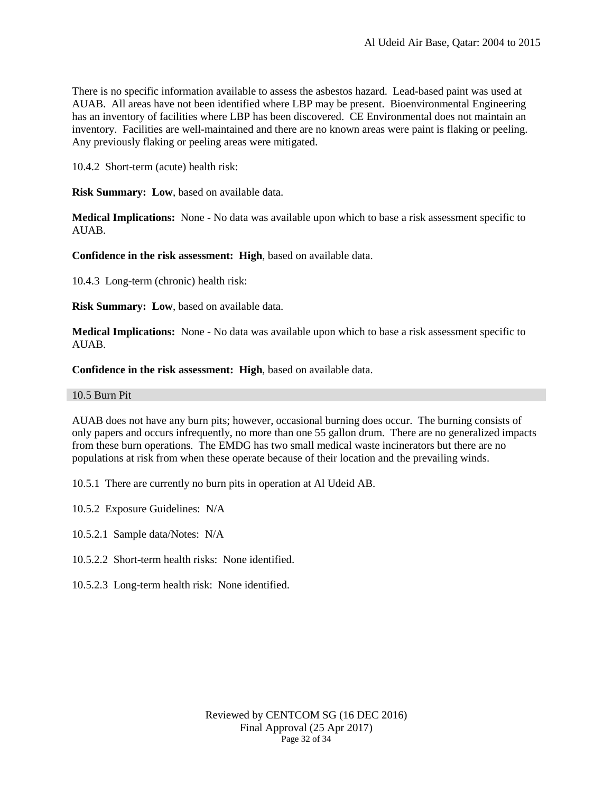There is no specific information available to assess the asbestos hazard. Lead-based paint was used at AUAB. All areas have not been identified where LBP may be present. Bioenvironmental Engineering has an inventory of facilities where LBP has been discovered. CE Environmental does not maintain an inventory. Facilities are well-maintained and there are no known areas were paint is flaking or peeling. Any previously flaking or peeling areas were mitigated.

10.4.2 Short-term (acute) health risk:

**Risk Summary: Low**, based on available data.

**Medical Implications:** None - No data was available upon which to base a risk assessment specific to AUAB.

**Confidence in the risk assessment: High**, based on available data.

10.4.3 Long-term (chronic) health risk:

**Risk Summary: Low**, based on available data.

**Medical Implications:** None - No data was available upon which to base a risk assessment specific to AUAB.

**Confidence in the risk assessment: High**, based on available data.

#### <span id="page-31-0"></span>10.5 Burn Pit

AUAB does not have any burn pits; however, occasional burning does occur. The burning consists of only papers and occurs infrequently, no more than one 55 gallon drum. There are no generalized impacts from these burn operations. The EMDG has two small medical waste incinerators but there are no populations at risk from when these operate because of their location and the prevailing winds.

10.5.1 There are currently no burn pits in operation at Al Udeid AB.

10.5.2 Exposure Guidelines: N/A

10.5.2.1 Sample data/Notes: N/A

- 10.5.2.2 Short-term health risks: None identified.
- 10.5.2.3 Long-term health risk: None identified.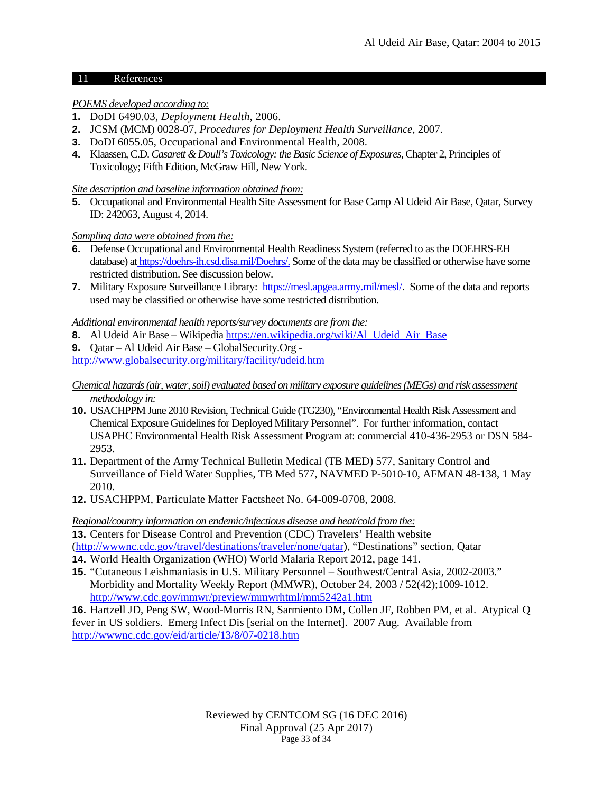### 11 References

# *POEMS developed according to:*

- **1.** DoDI 6490.03, *Deployment Health*, 2006.
- **2.** JCSM (MCM) 0028-07, *Procedures for Deployment Health Surveillance,* 2007.
- **3.** DoDI 6055.05, Occupational and Environmental Health, 2008.
- **4.** Klaassen, C.D. *Casarett & Doull's Toxicology: the Basic Science of Exposures*, Chapter 2, Principles of Toxicology; Fifth Edition, McGraw Hill, New York.

# *Site description and baseline information obtained from:*

**5.** Occupational and Environmental Health Site Assessment for Base Camp Al Udeid Air Base, Qatar, Survey ID: 242063, August 4, 2014.

# *Sampling data were obtained from the:*

- **6.** Defense Occupational and Environmental Health Readiness System (referred to as the DOEHRS-EH database) at [https://doehrs-ih.csd.disa.mil/Doehrs/.](https://doehrs-ih.csd.disa.mil/Doehrs/) Some of the data may be classified or otherwise have some restricted distribution. See discussion below.
- **7.** Military Exposure Surveillance Library: <https://mesl.apgea.army.mil/mesl/>. Some of the data and reports used may be classified or otherwise have some restricted distribution.

# *Additional environmental health reports/survey documents are from the:*

- **8.** Al Udeid Air Base Wikipedi[a https://en.wikipedia.org/wiki/Al\\_Udeid\\_Air\\_Base](https://en.wikipedia.org/wiki/Al_Udeid_Air_Base)
- **9.** Qatar Al Udeid Air Base GlobalSecurity.Org -

<http://www.globalsecurity.org/military/facility/udeid.htm>

### *Chemical hazards (air, water, soil) evaluated based on military exposure guidelines (MEGs) and risk assessment methodology in:*

- **10.** USACHPPM June 2010 Revision, Technical Guide (TG230), "Environmental Health Risk Assessment and Chemical Exposure Guidelines for Deployed Military Personnel". For further information, contact USAPHC Environmental Health Risk Assessment Program at: commercial 410-436-2953 or DSN 584- 2953.
- **11.** Department of the Army Technical Bulletin Medical (TB MED) 577, Sanitary Control and Surveillance of Field Water Supplies, TB Med 577, NAVMED P-5010-10, AFMAN 48-138, 1 May 2010.
- **12.** USACHPPM, Particulate Matter Factsheet No. 64-009-0708, 2008.

# *Regional/country information on endemic/infectious disease and heat/cold from the:*

**13.** Centers for Disease Control and Prevention (CDC) Travelers' Health website [\(http://wwwnc.cdc.gov/travel/destinations/traveler/none/qatar\)](http://wwwnc.cdc.gov/travel/destinations/traveler/none/qatar), "Destinations" section, Qatar

- **14.** World Health Organization (WHO) World Malaria Report 2012, page 141.
- **15.** "Cutaneous Leishmaniasis in U.S. Military Personnel Southwest/Central Asia, 2002-2003." Morbidity and Mortality Weekly Report (MMWR), October 24, 2003 / 52(42);1009-1012. <http://www.cdc.gov/mmwr/preview/mmwrhtml/mm5242a1.htm>

**16.** Hartzell JD, Peng SW, Wood-Morris RN, Sarmiento DM, Collen JF, Robben PM, et al. Atypical Q fever in US soldiers. Emerg Infect Dis [serial on the Internet]. 2007 Aug. Available from <http://wwwnc.cdc.gov/eid/article/13/8/07-0218.htm>